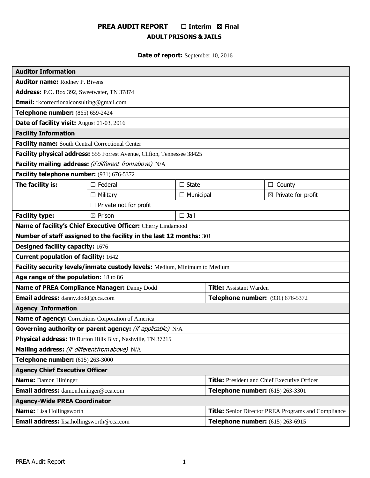# **PREA AUDIT REPORT** ☐ **Interim** ☒ **Final ADULT PRISONS & JAILS**

# **Date of report:** September 10, 2016

| <b>Auditor Information</b>                                                |                                                                         |                  |                                                            |                                |  |  |
|---------------------------------------------------------------------------|-------------------------------------------------------------------------|------------------|------------------------------------------------------------|--------------------------------|--|--|
| <b>Auditor name: Rodney P. Bivens</b>                                     |                                                                         |                  |                                                            |                                |  |  |
| Address: P.O. Box 392, Sweetwater, TN 37874                               |                                                                         |                  |                                                            |                                |  |  |
| <b>Email:</b> rkcorrectionalconsulting@gmail.com                          |                                                                         |                  |                                                            |                                |  |  |
| Telephone number: (865) 659-2424                                          |                                                                         |                  |                                                            |                                |  |  |
| Date of facility visit: August 01-03, 2016                                |                                                                         |                  |                                                            |                                |  |  |
| <b>Facility Information</b>                                               |                                                                         |                  |                                                            |                                |  |  |
| Facility name: South Central Correctional Center                          |                                                                         |                  |                                                            |                                |  |  |
|                                                                           | Facility physical address: 555 Forrest Avenue, Clifton, Tennessee 38425 |                  |                                                            |                                |  |  |
|                                                                           | Facility mailing address: (if different fromabove) N/A                  |                  |                                                            |                                |  |  |
| Facility telephone number: (931) 676-5372                                 |                                                                         |                  |                                                            |                                |  |  |
| The facility is:                                                          | $\Box$ Federal                                                          | $\Box$ State     |                                                            | County<br>$\Box$               |  |  |
|                                                                           | $\Box$ Military                                                         | $\Box$ Municipal |                                                            | $\boxtimes$ Private for profit |  |  |
|                                                                           | $\Box$ Private not for profit                                           |                  |                                                            |                                |  |  |
| <b>Facility type:</b>                                                     | $\boxtimes$ Prison                                                      | $\square$ Jail   |                                                            |                                |  |  |
| Name of facility's Chief Executive Officer: Cherry Lindamood              |                                                                         |                  |                                                            |                                |  |  |
|                                                                           | Number of staff assigned to the facility in the last 12 months: 301     |                  |                                                            |                                |  |  |
| <b>Designed facility capacity: 1676</b>                                   |                                                                         |                  |                                                            |                                |  |  |
| <b>Current population of facility: 1642</b>                               |                                                                         |                  |                                                            |                                |  |  |
| Facility security levels/inmate custody levels: Medium, Minimum to Medium |                                                                         |                  |                                                            |                                |  |  |
| Age range of the population: 18 to 86                                     |                                                                         |                  |                                                            |                                |  |  |
| Name of PREA Compliance Manager: Danny Dodd                               |                                                                         |                  | <b>Title:</b> Assistant Warden                             |                                |  |  |
| Email address: danny.dodd@cca.com                                         |                                                                         |                  | Telephone number: (931) 676-5372                           |                                |  |  |
| <b>Agency Information</b>                                                 |                                                                         |                  |                                                            |                                |  |  |
| <b>Name of agency:</b> Corrections Corporation of America                 |                                                                         |                  |                                                            |                                |  |  |
| Governing authority or parent agency: (if applicable) N/A                 |                                                                         |                  |                                                            |                                |  |  |
| Physical address: 10 Burton Hills Blvd, Nashville, TN 37215               |                                                                         |                  |                                                            |                                |  |  |
| Mailing address: (if different from above) N/A                            |                                                                         |                  |                                                            |                                |  |  |
| Telephone number: (615) 263-3000                                          |                                                                         |                  |                                                            |                                |  |  |
| <b>Agency Chief Executive Officer</b>                                     |                                                                         |                  |                                                            |                                |  |  |
| <b>Name:</b> Damon Hininger                                               |                                                                         |                  | <b>Title:</b> President and Chief Executive Officer        |                                |  |  |
| <b>Email address:</b> damon.hininger@cca.com                              |                                                                         |                  | Telephone number: (615) 263-3301                           |                                |  |  |
| <b>Agency-Wide PREA Coordinator</b>                                       |                                                                         |                  |                                                            |                                |  |  |
| <b>Name:</b> Lisa Hollingsworth                                           |                                                                         |                  | <b>Title:</b> Senior Director PREA Programs and Compliance |                                |  |  |
| <b>Email address:</b> lisa.hollingsworth@cca.com                          |                                                                         |                  | Telephone number: (615) 263-6915                           |                                |  |  |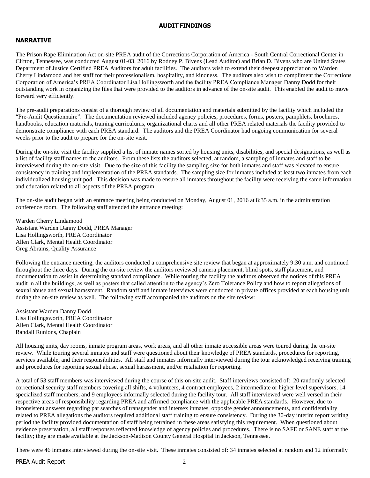#### **AUDITFINDINGS**

# **NARRATIVE**

The Prison Rape Elimination Act on-site PREA audit of the Corrections Corporation of America - South Central Correctional Center in Clifton, Tennessee, was conducted August 01-03, 2016 by Rodney P. Bivens (Lead Auditor) and Brian D. Bivens who are United States Department of Justice Certified PREA Auditors for adult facilities. The auditors wish to extend their deepest appreciation to Warden Cherry Lindamood and her staff for their professionalism, hospitality, and kindness. The auditors also wish to compliment the Corrections Corporation of America's PREA Coordinator Lisa Hollingsworth and the facility PREA Compliance Manager Danny Dodd for their outstanding work in organizing the files that were provided to the auditors in advance of the on-site audit. This enabled the audit to move forward very efficiently.

The pre-audit preparations consist of a thorough review of all documentation and materials submitted by the facility which included the "Pre-Audit Questionnaire". The documentation reviewed included agency policies, procedures, forms, posters, pamphlets, brochures, handbooks, education materials, training curriculums, organizational charts and all other PREA related materials the facility provided to demonstrate compliance with each PREA standard. The auditors and the PREA Coordinator had ongoing communication for several weeks prior to the audit to prepare for the on-site visit.

During the on-site visit the facility supplied a list of inmate names sorted by housing units, disabilities, and special designations, as well as a list of facility staff names to the auditors. From these lists the auditors selected, at random, a sampling of inmates and staff to be interviewed during the on-site visit. Due to the size of this facility the sampling size for both inmates and staff was elevated to ensure consistency in training and implementation of the PREA standards. The sampling size for inmates included at least two inmates from each individualized housing unit pod. This decision was made to ensure all inmates throughout the facility were receiving the same information and education related to all aspects of the PREA program.

The on-site audit began with an entrance meeting being conducted on Monday, August 01, 2016 at 8:35 a.m. in the administration conference room. The following staff attended the entrance meeting:

Warden Cherry Lindamood Assistant Warden Danny Dodd, PREA Manager Lisa Hollingsworth, PREA Coordinator Allen Clark, Mental Health Coordinator Greg Abrams, Quality Assurance

Following the entrance meeting, the auditors conducted a comprehensive site review that began at approximately 9:30 a.m. and continued throughout the three days. During the on-site review the auditors reviewed camera placement, blind spots, staff placement, and documentation to assist in determining standard compliance. While touring the facility the auditors observed the notices of this PREA audit in all the buildings, as well as posters that called attention to the agency's Zero Tolerance Policy and how to report allegations of sexual abuse and sexual harassment. Random staff and inmate interviews were conducted in private offices provided at each housing unit during the on-site review as well. The following staff accompanied the auditors on the site review:

Assistant Warden Danny Dodd Lisa Hollingsworth, PREA Coordinator Allen Clark, Mental Health Coordinator Randall Runions, Chaplain

All housing units, day rooms, inmate program areas, work areas, and all other inmate accessible areas were toured during the on-site review. While touring several inmates and staff were questioned about their knowledge of PREA standards, procedures for reporting, services available, and their responsibilities. All staff and inmates informally interviewed during the tour acknowledged receiving training and procedures for reporting sexual abuse, sexual harassment, and/or retaliation for reporting.

A total of 53 staff members was interviewed during the course of this on-site audit. Staff interviews consisted of: 20 randomly selected correctional security staff members covering all shifts, 4 volunteers, 4 contract employees, 2 intermediate or higher level supervisors, 14 specialized staff members, and 9 employees informally selected during the facility tour. All staff interviewed were well versed in their respective areas of responsibility regarding PREA and affirmed compliance with the applicable PREA standards. However, due to inconsistent answers regarding pat searches of transgender and intersex inmates, opposite gender announcements, and confidentiality related to PREA allegations the auditors required additional staff training to ensure consistency. During the 30-day interim report writing period the facility provided documentation of staff being retrained in these areas satisfying this requirement. When questioned about evidence preservation, all staff responses reflected knowledge of agency policies and procedures. There is no SAFE or SANE staff at the facility; they are made available at the Jackson-Madison County General Hospital in Jackson, Tennessee.

There were 46 inmates interviewed during the on-site visit. These inmates consisted of: 34 inmates selected at random and 12 informally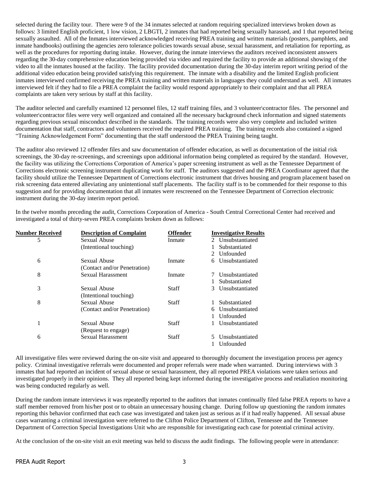selected during the facility tour. There were 9 of the 34 inmates selected at random requiring specialized interviews broken down as follows: 3 limited English proficient, 1 low vision, 2 LBGTI, 2 inmates that had reported being sexually harassed, and 1 that reported being sexually assaulted. All of the Inmates interviewed acknowledged receiving PREA training and written materials (posters, pamphlets, and inmate handbooks) outlining the agencies zero tolerance policies towards sexual abuse, sexual harassment, and retaliation for reporting, as well as the procedures for reporting during intake. However, during the inmate interviews the auditors received inconsistent answers regarding the 30-day comprehensive education being provided via video and required the facility to provide an additional showing of the video to all the inmates housed at the facility. The facility provided documentation during the 30-day interim report writing period of the additional video education being provided satisfying this requirement. The inmate with a disability and the limited English proficient inmates interviewed confirmed receiving the PREA training and written materials in languages they could understand as well. All inmates interviewed felt if they had to file a PREA complaint the facility would respond appropriately to their complaint and that all PREA complaints are taken very serious by staff at this facility.

The auditor selected and carefully examined 12 personnel files, 12 staff training files, and 3 volunteer\contractor files. The personnel and volunteer\contractor files were very well organized and contained all the necessary background check information and signed statements regarding previous sexual misconduct described in the standards. The training records were also very complete and included written documentation that staff, contractors and volunteers received the required PREA training. The training records also contained a signed "Training Acknowledgement Form" documenting that the staff understood the PREA Training being taught.

The auditor also reviewed 12 offender files and saw documentation of offender education, as well as documentation of the initial risk screenings, the 30-day re-screenings, and screenings upon additional information being completed as required by the standard. However, the facility was utilizing the Corrections Corporation of America's paper screening instrument as well as the Tennessee Department of Corrections electronic screening instrument duplicating work for staff. The auditors suggested and the PREA Coordinator agreed that the facility should utilize the Tennessee Department of Corrections electronic instrument that drives housing and program placement based on risk screening data entered alleviating any unintentional staff placements. The facility staff is to be commended for their response to this suggestion and for providing documentation that all inmates were rescreened on the Tennessee Department of Correction electronic instrument during the 30-day interim report period.

In the twelve months preceding the audit, Corrections Corporation of America - South Central Correctional Center had received and investigated a total of thirty-seven PREA complaints broken down as follows:

| 5<br>Sexual Abuse<br>Inmate<br>(Intentional touching)<br>Substantiated<br>Unfounded<br>$2^{\circ}$<br>Sexual Abuse<br>6<br>Inmate<br>6<br>(Contact and/or Penetration)<br>8<br><b>Sexual Harassment</b><br>Inmate<br>Substantiated<br>3<br>Sexual Abuse<br>Staff<br>3<br>(Intentional touching)<br>8<br>Sexual Abuse<br>Substantiated<br>Staff<br>(Contact and/or Penetration)<br>Unfounded<br>1<br>Sexual Abuse<br>Staff<br>(Request to engage)<br><b>Sexual Harassment</b><br>6<br>Staff<br>Unfounded | <b>Number Received</b> | <b>Description of Complaint</b> | <b>Offender</b> | <b>Investigative Results</b> |
|---------------------------------------------------------------------------------------------------------------------------------------------------------------------------------------------------------------------------------------------------------------------------------------------------------------------------------------------------------------------------------------------------------------------------------------------------------------------------------------------------------|------------------------|---------------------------------|-----------------|------------------------------|
|                                                                                                                                                                                                                                                                                                                                                                                                                                                                                                         |                        |                                 |                 | 2 Unsubstantiated            |
|                                                                                                                                                                                                                                                                                                                                                                                                                                                                                                         |                        |                                 |                 |                              |
|                                                                                                                                                                                                                                                                                                                                                                                                                                                                                                         |                        |                                 |                 |                              |
|                                                                                                                                                                                                                                                                                                                                                                                                                                                                                                         |                        |                                 |                 | Unsubstantiated              |
|                                                                                                                                                                                                                                                                                                                                                                                                                                                                                                         |                        |                                 |                 |                              |
|                                                                                                                                                                                                                                                                                                                                                                                                                                                                                                         |                        |                                 |                 | Unsubstantiated              |
|                                                                                                                                                                                                                                                                                                                                                                                                                                                                                                         |                        |                                 |                 |                              |
|                                                                                                                                                                                                                                                                                                                                                                                                                                                                                                         |                        |                                 |                 | Unsubstantiated              |
|                                                                                                                                                                                                                                                                                                                                                                                                                                                                                                         |                        |                                 |                 |                              |
|                                                                                                                                                                                                                                                                                                                                                                                                                                                                                                         |                        |                                 |                 |                              |
|                                                                                                                                                                                                                                                                                                                                                                                                                                                                                                         |                        |                                 |                 | Unsubstantiated              |
|                                                                                                                                                                                                                                                                                                                                                                                                                                                                                                         |                        |                                 |                 |                              |
|                                                                                                                                                                                                                                                                                                                                                                                                                                                                                                         |                        |                                 |                 | Unsubstantiated              |
|                                                                                                                                                                                                                                                                                                                                                                                                                                                                                                         |                        |                                 |                 |                              |
|                                                                                                                                                                                                                                                                                                                                                                                                                                                                                                         |                        |                                 |                 | Unsubstantiated              |
|                                                                                                                                                                                                                                                                                                                                                                                                                                                                                                         |                        |                                 |                 |                              |

All investigative files were reviewed during the on-site visit and appeared to thoroughly document the investigation process per agency policy. Criminal investigative referrals were documented and proper referrals were made when warranted. During interviews with 3 inmates that had reported an incident of sexual abuse or sexual harassment, they all reported PREA violations were taken serious and investigated properly in their opinions. They all reported being kept informed during the investigative process and retaliation monitoring was being conducted regularly as well.

During the random inmate interviews it was repeatedly reported to the auditors that inmates continually filed false PREA reports to have a staff member removed from his/her post or to obtain an unnecessary housing change. During follow up questioning the random inmates reporting this behavior confirmed that each case was investigated and taken just as serious as if it had really happened. All sexual abuse cases warranting a criminal investigation were referred to the Clifton Police Department of Clifton, Tennessee and the Tennessee Department of Correction Special Investigations Unit who are responsible for investigating each case for potential criminal activity.

At the conclusion of the on-site visit an exit meeting was held to discuss the audit findings. The following people were in attendance: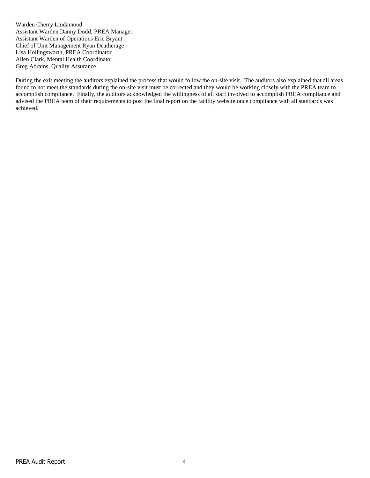Warden Cherry Lindamood Assistant Warden Danny Dodd, PREA Manager Assistant Warden of Operations Eric Bryant Chief of Unit Management Ryan Deatherage Lisa Hollingsworth, PREA Coordinator Allen Clark, Mental Health Coordinator Greg Abrams, Quality Assurance

During the exit meeting the auditors explained the process that would follow the on-site visit. The auditors also explained that all areas found to not meet the standards during the on-site visit must be corrected and they would be working closely with the PREA team to accomplish compliance. Finally, the auditors acknowledged the willingness of all staff involved to accomplish PREA compliance and advised the PREA team of their requirements to post the final report on the facility website once compliance with all standards was achieved.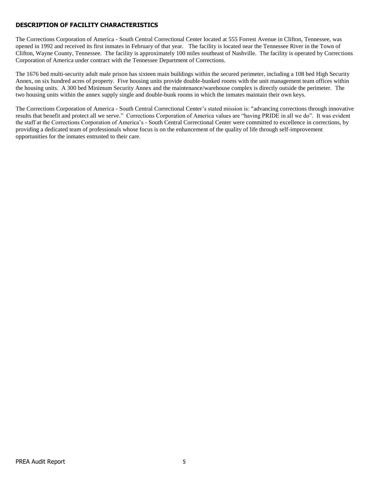# **DESCRIPTION OF FACILITY CHARACTERISTICS**

The Corrections Corporation of America - South Central Correctional Center located at 555 Forrest Avenue in Clifton, Tennessee, was opened in 1992 and received its first inmates in February of that year. The facility is located near the Tennessee River in the Town of Clifton, Wayne County, Tennessee. The facility is approximately 100 miles southeast of Nashville. The facility is operated by Corrections Corporation of America under contract with the Tennessee Department of Corrections.

The 1676 bed multi-security adult male prison has sixteen main buildings within the secured perimeter, including a 108 bed High Security Annex, on six hundred acres of property. Five housing units provide double-bunked rooms with the unit management team offices within the housing units. A 300 bed Minimum Security Annex and the maintenance/warehouse complex is directly outside the perimeter. The two housing units within the annex supply single and double-bunk rooms in which the inmates maintain their own keys.

The Corrections Corporation of America - South Central Correctional Center's stated mission is: "advancing corrections through innovative results that benefit and protect all we serve." Corrections Corporation of America values are "having PRIDE in all we do". It was evident the staff at the Corrections Corporation of America's - South Central Correctional Center were committed to excellence in corrections, by providing a dedicated team of professionals whose focus is on the enhancement of the quality of life through self-improvement opportunities for the inmates entrusted to their care.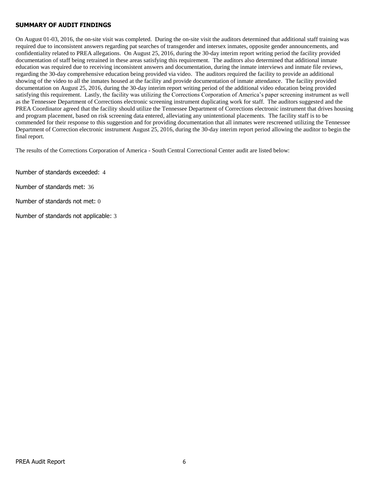## **SUMMARY OF AUDIT FINDINGS**

On August 01-03, 2016, the on-site visit was completed. During the on-site visit the auditors determined that additional staff training was required due to inconsistent answers regarding pat searches of transgender and intersex inmates, opposite gender announcements, and confidentiality related to PREA allegations. On August 25, 2016, during the 30-day interim report writing period the facility provided documentation of staff being retrained in these areas satisfying this requirement. The auditors also determined that additional inmate education was required due to receiving inconsistent answers and documentation, during the inmate interviews and inmate file reviews, regarding the 30-day comprehensive education being provided via video. The auditors required the facility to provide an additional showing of the video to all the inmates housed at the facility and provide documentation of inmate attendance. The facility provided documentation on August 25, 2016, during the 30-day interim report writing period of the additional video education being provided satisfying this requirement. Lastly, the facility was utilizing the Corrections Corporation of America's paper screening instrument as well as the Tennessee Department of Corrections electronic screening instrument duplicating work for staff. The auditors suggested and the PREA Coordinator agreed that the facility should utilize the Tennessee Department of Corrections electronic instrument that drives housing and program placement, based on risk screening data entered, alleviating any unintentional placements. The facility staff is to be commended for their response to this suggestion and for providing documentation that all inmates were rescreened utilizing the Tennessee Department of Correction electronic instrument August 25, 2016, during the 30-day interim report period allowing the auditor to begin the final report.

The results of the Corrections Corporation of America - South Central Correctional Center audit are listed below:

Number of standards exceeded: 4

Number of standards met: 36

Number of standards not met: 0

Number of standards not applicable: 3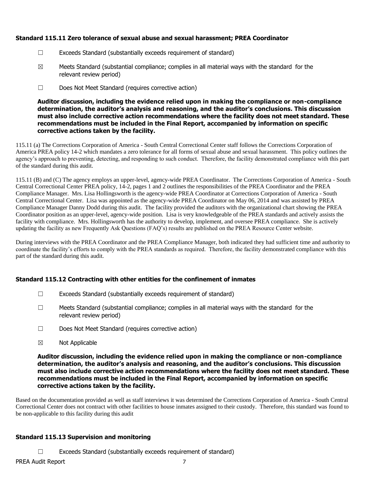# **Standard 115.11 Zero tolerance of sexual abuse and sexual harassment; PREA Coordinator**

- ☐ Exceeds Standard (substantially exceeds requirement of standard)
- $\boxtimes$  Meets Standard (substantial compliance; complies in all material ways with the standard for the relevant review period)
- ☐ Does Not Meet Standard (requires corrective action)

**Auditor discussion, including the evidence relied upon in making the compliance or non-compliance determination, the auditor's analysis and reasoning, and the auditor's conclusions. This discussion must also include corrective action recommendations where the facility does not meet standard. These recommendations must be included in the Final Report, accompanied by information on specific corrective actions taken by the facility.**

115.11 (a) The Corrections Corporation of America - South Central Correctional Center staff follows the Corrections Corporation of America PREA policy 14-2 which mandates a zero tolerance for all forms of sexual abuse and sexual harassment. This policy outlines the agency's approach to preventing, detecting, and responding to such conduct. Therefore, the facility demonstrated compliance with this part of the standard during this audit.

115.11 (B) and (C) The agency employs an upper-level, agency-wide PREA Coordinator. The Corrections Corporation of America - South Central Correctional Center PREA policy, 14-2, pages 1 and 2 outlines the responsibilities of the PREA Coordinator and the PREA Compliance Manager. Mrs. Lisa Hollingsworth is the agency-wide PREA Coordinator at Corrections Corporation of America - South Central Correctional Center. Lisa was appointed as the agency-wide PREA Coordinator on May 06, 2014 and was assisted by PREA Compliance Manager Danny Dodd during this audit. The facility provided the auditors with the organizational chart showing the PREA Coordinator position as an upper-level, agency-wide position. Lisa is very knowledgeable of the PREA standards and actively assists the facility with compliance. Mrs. Hollingsworth has the authority to develop, implement, and oversee PREA compliance. She is actively updating the facility as new Frequently Ask Questions (FAQ's) results are published on the PREA Resource Center website.

During interviews with the PREA Coordinator and the PREA Compliance Manager, both indicated they had sufficient time and authority to coordinate the facility's efforts to comply with the PREA standards as required. Therefore, the facility demonstrated compliance with this part of the standard during this audit.

# **Standard 115.12 Contracting with other entities for the confinement of inmates**

- $\Box$  Exceeds Standard (substantially exceeds requirement of standard)
- $\Box$  Meets Standard (substantial compliance; complies in all material ways with the standard for the relevant review period)
- ☐ Does Not Meet Standard (requires corrective action)
- ☒ Not Applicable

**Auditor discussion, including the evidence relied upon in making the compliance or non-compliance determination, the auditor's analysis and reasoning, and the auditor's conclusions. This discussion must also include corrective action recommendations where the facility does not meet standard. These recommendations must be included in the Final Report, accompanied by information on specific corrective actions taken by the facility.**

Based on the documentation provided as well as staff interviews it was determined the Corrections Corporation of America - South Central Correctional Center does not contract with other facilities to house inmates assigned to their custody. Therefore, this standard was found to be non-applicable to this facility during this audit

# **Standard 115.13 Supervision and monitoring**

 $\Box$  Exceeds Standard (substantially exceeds requirement of standard)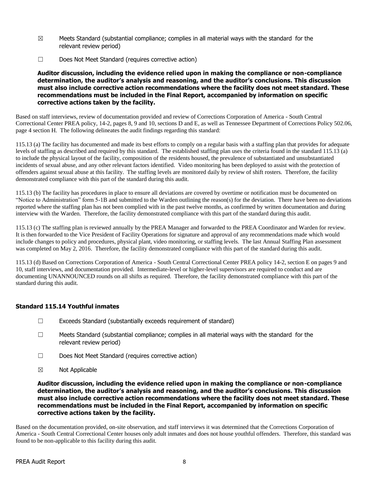- $\boxtimes$  Meets Standard (substantial compliance; complies in all material ways with the standard for the relevant review period)
- ☐ Does Not Meet Standard (requires corrective action)

#### **Auditor discussion, including the evidence relied upon in making the compliance or non-compliance determination, the auditor's analysis and reasoning, and the auditor's conclusions. This discussion must also include corrective action recommendations where the facility does not meet standard. These recommendations must be included in the Final Report, accompanied by information on specific corrective actions taken by the facility.**

Based on staff interviews, review of documentation provided and review of Corrections Corporation of America - South Central Correctional Center PREA policy, 14-2, pages 8, 9 and 10, sections D and E, as well as Tennessee Department of Corrections Policy 502.06, page 4 section H. The following delineates the audit findings regarding this standard:

115.13 (a) The facility has documented and made its best efforts to comply on a regular basis with a staffing plan that provides for adequate levels of staffing as described and required by this standard. The established staffing plan uses the criteria found in the standard 115.13 (a) to include the physical layout of the facility, composition of the residents housed, the prevalence of substantiated and unsubstantiated incidents of sexual abuse, and any other relevant factors identified. Video monitoring has been deployed to assist with the protection of offenders against sexual abuse at this facility. The staffing levels are monitored daily by review of shift rosters. Therefore, the facility demonstrated compliance with this part of the standard during this audit.

115.13 (b) The facility has procedures in place to ensure all deviations are covered by overtime or notification must be documented on "Notice to Administration" form 5-1B and submitted to the Warden outlining the reason(s) for the deviation. There have been no deviations reported where the staffing plan has not been complied with in the past twelve months, as confirmed by written documentation and during interview with the Warden. Therefore, the facility demonstrated compliance with this part of the standard during this audit.

115.13 (c) The staffing plan is reviewed annually by the PREA Manager and forwarded to the PREA Coordinator and Warden for review. It is then forwarded to the Vice President of Facility Operations for signature and approval of any recommendations made which would include changes to policy and procedures, physical plant, video monitoring, or staffing levels. The last Annual Staffing Plan assessment was completed on May 2, 2016. Therefore, the facility demonstrated compliance with this part of the standard during this audit.

115.13 (d) Based on Corrections Corporation of America - South Central Correctional Center PREA policy 14-2, section E on pages 9 and 10, staff interviews, and documentation provided. Intermediate-level or higher-level supervisors are required to conduct and are documenting UNANNOUNCED rounds on all shifts as required. Therefore, the facility demonstrated compliance with this part of the standard during this audit.

# **Standard 115.14 Youthful inmates**

- ☐ Exceeds Standard (substantially exceeds requirement of standard)
- ☐ Meets Standard (substantial compliance; complies in all material ways with the standard for the relevant review period)
- ☐ Does Not Meet Standard (requires corrective action)
- ☒ Not Applicable

**Auditor discussion, including the evidence relied upon in making the compliance or non-compliance determination, the auditor's analysis and reasoning, and the auditor's conclusions. This discussion must also include corrective action recommendations where the facility does not meet standard. These recommendations must be included in the Final Report, accompanied by information on specific corrective actions taken by the facility.**

Based on the documentation provided, on-site observation, and staff interviews it was determined that the Corrections Corporation of America - South Central Correctional Center houses only adult inmates and does not house youthful offenders. Therefore, this standard was found to be non-applicable to this facility during this audit.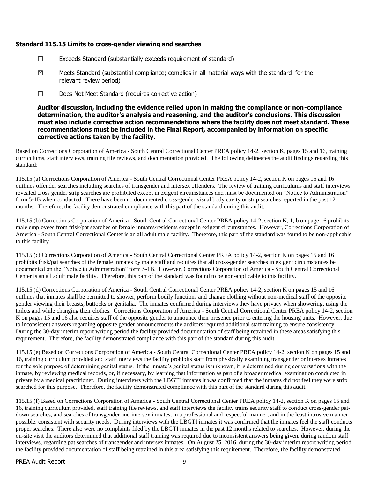# **Standard 115.15 Limits to cross-gender viewing and searches**

- $\Box$  Exceeds Standard (substantially exceeds requirement of standard)
- $\boxtimes$  Meets Standard (substantial compliance; complies in all material ways with the standard for the relevant review period)
- ☐ Does Not Meet Standard (requires corrective action)

**Auditor discussion, including the evidence relied upon in making the compliance or non-compliance determination, the auditor's analysis and reasoning, and the auditor's conclusions. This discussion must also include corrective action recommendations where the facility does not meet standard. These recommendations must be included in the Final Report, accompanied by information on specific corrective actions taken by the facility.**

Based on Corrections Corporation of America - South Central Correctional Center PREA policy 14-2, section K, pages 15 and 16, training curriculums, staff interviews, training file reviews, and documentation provided. The following delineates the audit findings regarding this standard:

115.15 (a) Corrections Corporation of America - South Central Correctional Center PREA policy 14-2, section K on pages 15 and 16 outlines offender searches including searches of transgender and intersex offenders. The review of training curriculums and staff interviews revealed cross gender strip searches are prohibited except in exigent circumstances and must be documented on "Notice to Administration" form 5-1B when conducted. There have been no documented cross-gender visual body cavity or strip searches reported in the past 12 months. Therefore, the facility demonstrated compliance with this part of the standard during this audit.

115.15 (b) Corrections Corporation of America - South Central Correctional Center PREA policy 14-2, section K, 1, b on page 16 prohibits male employees from frisk/pat searches of female inmates/residents except in exigent circumstances. However, Corrections Corporation of America - South Central Correctional Center is an all adult male facility. Therefore, this part of the standard was found to be non-applicable to this facility.

115.15 (c) Corrections Corporation of America - South Central Correctional Center PREA policy 14-2, section K on pages 15 and 16 prohibits frisk/pat searches of the female inmates by male staff and requires that all cross-gender searches in exigent circumstances be documented on the "Notice to Administration" form 5-1B. However, Corrections Corporation of America - South Central Correctional Center is an all adult male facility. Therefore, this part of the standard was found to be non-applicable to this facility.

115.15 (d) Corrections Corporation of America - South Central Correctional Center PREA policy 14-2, section K on pages 15 and 16 outlines that inmates shall be permitted to shower, perform bodily functions and change clothing without non-medical staff of the opposite gender viewing their breasts, buttocks or genitalia. The inmates confirmed during interviews they have privacy when showering, using the toilets and while changing their clothes. Corrections Corporation of America - South Central Correctional Center PREA policy 14-2, section K on pages 15 and 16 also requires staff of the opposite gender to announce their presence prior to entering the housing units. However, due to inconsistent answers regarding opposite gender announcements the auditors required additional staff training to ensure consistency. During the 30-day interim report writing period the facility provided documentation of staff being retrained in these areas satisfying this requirement. Therefore, the facility demonstrated compliance with this part of the standard during this audit.

115.15 (e) Based on Corrections Corporation of America - South Central Correctional Center PREA policy 14-2, section K on pages 15 and 16, training curriculum provided and staff interviews the facility prohibits staff from physically examining transgender or intersex inmates for the sole purpose of determining genital status. If the inmate's genital status is unknown, it is determined during conversations with the inmate, by reviewing medical records, or, if necessary, by learning that information as part of a broader medical examination conducted in private by a medical practitioner. During interviews with the LBGTI inmates it was confirmed that the inmates did not feel they were strip searched for this purpose. Therefore, the facility demonstrated compliance with this part of the standard during this audit.

115.15 (f) Based on Corrections Corporation of America - South Central Correctional Center PREA policy 14-2, section K on pages 15 and 16, training curriculum provided, staff training file reviews, and staff interviews the facility trains security staff to conduct cross-gender patdown searches, and searches of transgender and intersex inmates, in a professional and respectful manner, and in the least intrusive manner possible, consistent with security needs. During interviews with the LBGTI inmates it was confirmed that the inmates feel the staff conducts proper searches. There also were no complaints filed by the LBGTI inmates in the past 12 months related to searches. However, during the on-site visit the auditors determined that additional staff training was required due to inconsistent answers being given, during random staff interviews, regarding pat searches of transgender and intersex inmates. On August 25, 2016, during the 30-day interim report writing period the facility provided documentation of staff being retrained in this area satisfying this requirement. Therefore, the facility demonstrated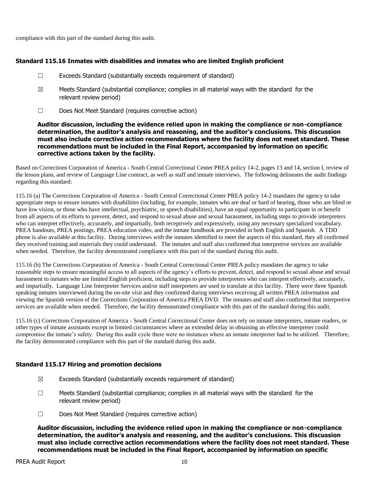compliance with this part of the standard during this audit.

## **Standard 115.16 Inmates with disabilities and inmates who are limited English proficient**

- $\Box$  Exceeds Standard (substantially exceeds requirement of standard)
- $\boxtimes$  Meets Standard (substantial compliance; complies in all material ways with the standard for the relevant review period)
- ☐ Does Not Meet Standard (requires corrective action)

#### **Auditor discussion, including the evidence relied upon in making the compliance or non-compliance determination, the auditor's analysis and reasoning, and the auditor's conclusions. This discussion must also include corrective action recommendations where the facility does not meet standard. These recommendations must be included in the Final Report, accompanied by information on specific corrective actions taken by the facility.**

Based on Corrections Corporation of America - South Central Correctional Center PREA policy 14-2, pages 13 and 14, section I, review of the lesson plans, and review of Language Line contract, as well as staff and inmate interviews. The following delineates the audit findings regarding this standard:

115.16 (a) The Corrections Corporation of America - South Central Correctional Center PREA policy 14-2 mandates the agency to take appropriate steps to ensure inmates with disabilities (including, for example, inmates who are deaf or hard of hearing, those who are blind or have low vision, or those who have intellectual, psychiatric, or speech disabilities), have an equal opportunity to participate in or benefit from all aspects of its efforts to prevent, detect, and respond to sexual abuse and sexual harassment, including steps to provide interpreters who can interpret effectively, accurately, and impartially, both receptively and expressively, using any necessary specialized vocabulary. PREA handouts, PREA postings, PREA education video, and the inmate handbook are provided in both English and Spanish. A TDD phone is also available at this facility. During interviews with the inmates identified to meet the aspects of this standard, they all confirmed they received training and materials they could understand. The inmates and staff also confirmed that interpretive services are available when needed. Therefore, the facility demonstrated compliance with this part of the standard during this audit.

115.16 (b) The Corrections Corporation of America - South Central Correctional Center PREA policy mandates the agency to take reasonable steps to ensure meaningful access to all aspects of the agency's efforts to prevent, detect, and respond to sexual abuse and sexual harassment to inmates who are limited English proficient, including steps to provide interpreters who can interpret effectively, accurately, and impartially. Language Line Interpreter Services and/or staff interpreters are used to translate at this facility. There were three Spanish speaking inmates interviewed during the on-site visit and they confirmed during interviews receiving all written PREA information and viewing the Spanish version of the Corrections Corporation of America PREA DVD. The inmates and staff also confirmed that interpretive services are available when needed. Therefore, the facility demonstrated compliance with this part of the standard during this audit.

115.16 (c) Corrections Corporation of America - South Central Correctional Center does not rely on inmate interpreters, inmate readers, or other types of inmate assistants except in limited circumstances where an extended delay in obtaining an effective interpreter could compromise the inmate's safety. During this audit cycle there were no instances where an inmate interpreter had to be utilized. Therefore, the facility demonstrated compliance with this part of the standard during this audit.

# **Standard 115.17 Hiring and promotion decisions**

- $\boxtimes$  Exceeds Standard (substantially exceeds requirement of standard)
- $\Box$  Meets Standard (substantial compliance; complies in all material ways with the standard for the relevant review period)
- ☐ Does Not Meet Standard (requires corrective action)

**Auditor discussion, including the evidence relied upon in making the compliance or non-compliance determination, the auditor's analysis and reasoning, and the auditor's conclusions. This discussion must also include corrective action recommendations where the facility does not meet standard. These recommendations must be included in the Final Report, accompanied by information on specific**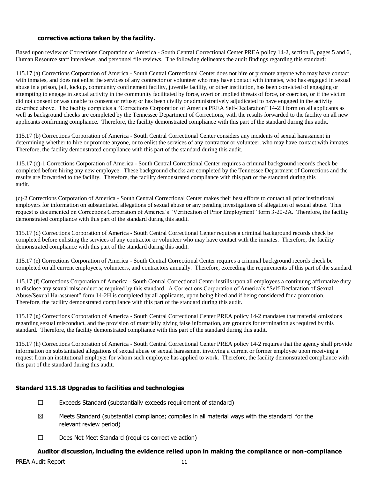## **corrective actions taken by the facility.**

Based upon review of Corrections Corporation of America - South Central Correctional Center PREA policy 14-2, section B, pages 5 and 6, Human Resource staff interviews, and personnel file reviews. The following delineates the audit findings regarding this standard:

115.17 (a) Corrections Corporation of America - South Central Correctional Center does not hire or promote anyone who may have contact with inmates, and does not enlist the services of any contractor or volunteer who may have contact with inmates, who has engaged in sexual abuse in a prison, jail, lockup, community confinement facility, juvenile facility, or other institution, has been convicted of engaging or attempting to engage in sexual activity in the community facilitated by force, overt or implied threats of force, or coercion, or if the victim did not consent or was unable to consent or refuse; or has been civilly or administratively adjudicated to have engaged in the activity described above. The facility completes a "Corrections Corporation of America PREA Self-Declaration" 14-2H form on all applicants as well as background checks are completed by the Tennessee Department of Corrections, with the results forwarded to the facility on all new applicants confirming compliance. Therefore, the facility demonstrated compliance with this part of the standard during this audit.

115.17 (b) Corrections Corporation of America - South Central Correctional Center considers any incidents of sexual harassment in determining whether to hire or promote anyone, or to enlist the services of any contractor or volunteer, who may have contact with inmates. Therefore, the facility demonstrated compliance with this part of the standard during this audit.

115.17 (c)-1 Corrections Corporation of America - South Central Correctional Center requires a criminal background records check be completed before hiring any new employee. These background checks are completed by the Tennessee Department of Corrections and the results are forwarded to the facility. Therefore, the facility demonstrated compliance with this part of the standard during this audit.

(c)-2 Corrections Corporation of America - South Central Correctional Center makes their best efforts to contact all prior institutional employers for information on substantiated allegations of sexual abuse or any pending investigations of allegation of sexual abuse. This request is documented on Corrections Corporation of America's "Verification of Prior Employment" form 3-20-2A. Therefore, the facility demonstrated compliance with this part of the standard during this audit.

115.17 (d) Corrections Corporation of America - South Central Correctional Center requires a criminal background records check be completed before enlisting the services of any contractor or volunteer who may have contact with the inmates. Therefore, the facility demonstrated compliance with this part of the standard during this audit.

115.17 (e) Corrections Corporation of America - South Central Correctional Center requires a criminal background records check be completed on all current employees, volunteers, and contractors annually. Therefore, exceeding the requirements of this part of the standard.

115.17 (f) Corrections Corporation of America - South Central Correctional Center instills upon all employees a continuing affirmative duty to disclose any sexual misconduct as required by this standard. A Corrections Corporation of America's "Self-Declaration of Sexual Abuse/Sexual Harassment" form 14-2H is completed by all applicants, upon being hired and if being considered for a promotion. Therefore, the facility demonstrated compliance with this part of the standard during this audit.

115.17 (g) Corrections Corporation of America - South Central Correctional Center PREA policy 14-2 mandates that material omissions regarding sexual misconduct, and the provision of materially giving false information, are grounds for termination as required by this standard. Therefore, the facility demonstrated compliance with this part of the standard during this audit.

115.17 (h) Corrections Corporation of America - South Central Correctional Center PREA policy 14-2 requires that the agency shall provide information on substantiated allegations of sexual abuse or sexual harassment involving a current or former employee upon receiving a request from an institutional employer for whom such employee has applied to work. Therefore, the facility demonstrated compliance with this part of the standard during this audit.

# **Standard 115.18 Upgrades to facilities and technologies**

- $\Box$  Exceeds Standard (substantially exceeds requirement of standard)
- $\boxtimes$  Meets Standard (substantial compliance; complies in all material ways with the standard for the relevant review period)
- ☐ Does Not Meet Standard (requires corrective action)

# **Auditor discussion, including the evidence relied upon in making the compliance or non-compliance**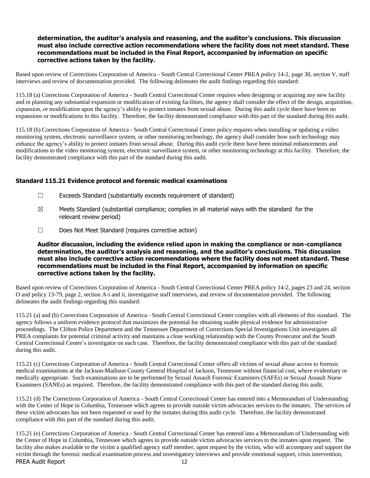# **determination, the auditor's analysis and reasoning, and the auditor's conclusions. This discussion must also include corrective action recommendations where the facility does not meet standard. These recommendations must be included in the Final Report, accompanied by information on specific corrective actions taken by the facility.**

Based upon review of Corrections Corporation of America - South Central Correctional Center PREA policy 14-2, page 30, section V, staff interviews and review of documentation provided. The following delineates the audit findings regarding this standard:

115.18 (a) Corrections Corporation of America - South Central Correctional Center requires when designing or acquiring any new facility and in planning any substantial expansion or modification of existing facilities, the agency shall consider the effect of the design, acquisition, expansion, or modification upon the agency's ability to protect inmates from sexual abuse. During this audit cycle there have been no expansions or modifications to this facility. Therefore, the facility demonstrated compliance with this part of the standard during this audit.

115.18 (b) Corrections Corporation of America - South Central Correctional Center policy requires when installing or updating a video monitoring system, electronic surveillance system, or other monitoring technology, the agency shall consider how such technology may enhance the agency's ability to protect inmates from sexual abuse. During this audit cycle there have been minimal enhancements and modifications to the video monitoring system, electronic surveillance system, or other monitoring technology at this facility. Therefore, the facility demonstrated compliance with this part of the standard during this audit.

# **Standard 115.21 Evidence protocol and forensic medical examinations**

- $\Box$  Exceeds Standard (substantially exceeds requirement of standard)
- $\boxtimes$  Meets Standard (substantial compliance; complies in all material ways with the standard for the relevant review period)
- ☐ Does Not Meet Standard (requires corrective action)

**Auditor discussion, including the evidence relied upon in making the compliance or non-compliance determination, the auditor's analysis and reasoning, and the auditor's conclusions. This discussion must also include corrective action recommendations where the facility does not meet standard. These recommendations must be included in the Final Report, accompanied by information on specific corrective actions taken by the facility.**

Based upon review of Corrections Corporation of America - South Central Correctional Center PREA policy 14-2, pages 23 and 24, section O and policy 13-79, page 2, section A-i and ii, investigative staff interviews, and review of documentation provided. The following delineates the audit findings regarding this standard:

115.21 (a) and (b) Corrections Corporation of America - South Central Correctional Center complies with all elements of this standard. The agency follows a uniform evidence protocol that maximizes the potential for obtaining usable physical evidence for administrative proceedings. The Clifton Police Department and the Tennessee Department of Corrections Special Investigations Unit investigates all PREA complaints for potential criminal activity and maintains a close working relationship with the County Prosecutor and the South Central Correctional Center's investigator on each case. Therefore, the facility demonstrated compliance with this part of the standard during this audit.

115.21 (c) Corrections Corporation of America - South Central Correctional Center offers all victims of sexual abuse access to forensic medical examinations at the Jackson-Madison County General Hospital of Jackson, Tennessee without financial cost, where evidentiary or medically appropriate. Such examinations are to be performed by Sexual Assault Forensic Examiners (SAFEs) or Sexual Assault Nurse Examiners (SANEs) as required. Therefore, the facility demonstrated compliance with this part of the standard during this audit.

115.21 (d) The Corrections Corporation of America - South Central Correctional Center has entered into a Memorandum of Understanding with the Center of Hope in Columbia, Tennessee which agrees to provide outside victim advocacies services to the inmates. The services of these victim advocates has not been requested or used by the inmates during this audit cycle. Therefore, the facility demonstrated compliance with this part of the standard during this audit.

PREA Audit Report 12 115.21 (e) Corrections Corporation of America - South Central Correctional Center has entered into a Memorandum of Understanding with the Center of Hope in Columbia, Tennessee which agrees to provide outside victim advocacies services to the inmates upon request. The facility also makes available to the victim a qualified agency staff member, upon request by the victim, who will accompany and support the victim through the forensic medical examination process and investigatory interviews and provide emotional support, crisis intervention,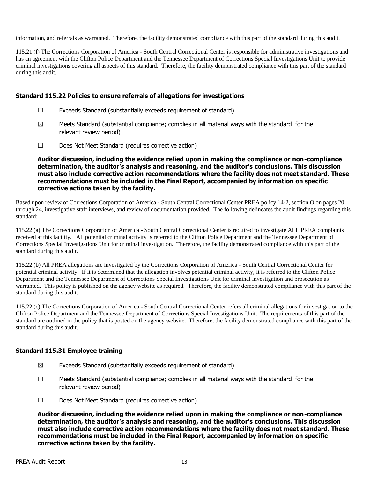information, and referrals as warranted. Therefore, the facility demonstrated compliance with this part of the standard during this audit.

115.21 (f) The Corrections Corporation of America - South Central Correctional Center is responsible for administrative investigations and has an agreement with the Clifton Police Department and the Tennessee Department of Corrections Special Investigations Unit to provide criminal investigations covering all aspects of this standard. Therefore, the facility demonstrated compliance with this part of the standard during this audit.

#### **Standard 115.22 Policies to ensure referrals of allegations for investigations**

- $\Box$  Exceeds Standard (substantially exceeds requirement of standard)
- $\boxtimes$  Meets Standard (substantial compliance; complies in all material ways with the standard for the relevant review period)
- ☐ Does Not Meet Standard (requires corrective action)

**Auditor discussion, including the evidence relied upon in making the compliance or non-compliance determination, the auditor's analysis and reasoning, and the auditor's conclusions. This discussion must also include corrective action recommendations where the facility does not meet standard. These recommendations must be included in the Final Report, accompanied by information on specific corrective actions taken by the facility.**

Based upon review of Corrections Corporation of America - South Central Correctional Center PREA policy 14-2, section O on pages 20 through 24, investigative staff interviews, and review of documentation provided. The following delineates the audit findings regarding this standard:

115.22 (a) The Corrections Corporation of America - South Central Correctional Center is required to investigate ALL PREA complaints received at this facility. All potential criminal activity is referred to the Clifton Police Department and the Tennessee Department of Corrections Special Investigations Unit for criminal investigation. Therefore, the facility demonstrated compliance with this part of the standard during this audit.

115.22 (b) All PREA allegations are investigated by the Corrections Corporation of America - South Central Correctional Center for potential criminal activity. If it is determined that the allegation involves potential criminal activity, it is referred to the Clifton Police Department and the Tennessee Department of Corrections Special Investigations Unit for criminal investigation and prosecution as warranted. This policy is published on the agency website as required. Therefore, the facility demonstrated compliance with this part of the standard during this audit.

115.22 (c) The Corrections Corporation of America - South Central Correctional Center refers all criminal allegations for investigation to the Clifton Police Department and the Tennessee Department of Corrections Special Investigations Unit. The requirements of this part of the standard are outlined in the policy that is posted on the agency website. Therefore, the facility demonstrated compliance with this part of the standard during this audit.

# **Standard 115.31 Employee training**

- $\boxtimes$  Exceeds Standard (substantially exceeds requirement of standard)
- $\Box$  Meets Standard (substantial compliance; complies in all material ways with the standard for the relevant review period)
- ☐ Does Not Meet Standard (requires corrective action)

**Auditor discussion, including the evidence relied upon in making the compliance or non-compliance determination, the auditor's analysis and reasoning, and the auditor's conclusions. This discussion must also include corrective action recommendations where the facility does not meet standard. These recommendations must be included in the Final Report, accompanied by information on specific corrective actions taken by the facility.**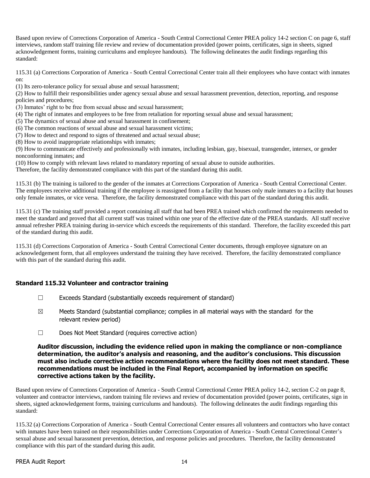Based upon review of Corrections Corporation of America - South Central Correctional Center PREA policy 14-2 section C on page 6, staff interviews, random staff training file review and review of documentation provided (power points, certificates, sign in sheets, signed acknowledgement forms, training curriculums and employee handouts). The following delineates the audit findings regarding this standard:

115.31 (a) Corrections Corporation of America - South Central Correctional Center train all their employees who have contact with inmates on:

(1) Its zero-tolerance policy for sexual abuse and sexual harassment;

(2) How to fulfill their responsibilities under agency sexual abuse and sexual harassment prevention, detection, reporting, and response policies and procedures;

(3) Inmates' right to be free from sexual abuse and sexual harassment;

(4) The right of inmates and employees to be free from retaliation for reporting sexual abuse and sexual harassment;

(5) The dynamics of sexual abuse and sexual harassment in confinement;

(6) The common reactions of sexual abuse and sexual harassment victims;

(7) How to detect and respond to signs of threatened and actual sexual abuse;

(8) How to avoid inappropriate relationships with inmates;

(9) How to communicate effectively and professionally with inmates, including lesbian, gay, bisexual, transgender, intersex, or gender nonconforming inmates; and

(10) How to comply with relevant laws related to mandatory reporting of sexual abuse to outside authorities.

Therefore, the facility demonstrated compliance with this part of the standard during this audit.

115.31 (b) The training is tailored to the gender of the inmates at Corrections Corporation of America - South Central Correctional Center. The employees receive additional training if the employee is reassigned from a facility that houses only male inmates to a facility that houses only female inmates, or vice versa. Therefore, the facility demonstrated compliance with this part of the standard during this audit.

115.31 (c) The training staff provided a report containing all staff that had been PREA trained which confirmed the requirements needed to meet the standard and proved that all current staff was trained within one year of the effective date of the PREA standards. All staff receive annual refresher PREA training during in-service which exceeds the requirements of this standard. Therefore, the facility exceeded this part of the standard during this audit.

115.31 (d) Corrections Corporation of America - South Central Correctional Center documents, through employee signature on an acknowledgement form, that all employees understand the training they have received. Therefore, the facility demonstrated compliance with this part of the standard during this audit.

# **Standard 115.32 Volunteer and contractor training**

- $\Box$  Exceeds Standard (substantially exceeds requirement of standard)
- $\boxtimes$  Meets Standard (substantial compliance; complies in all material ways with the standard for the relevant review period)
- ☐ Does Not Meet Standard (requires corrective action)

#### **Auditor discussion, including the evidence relied upon in making the compliance or non-compliance determination, the auditor's analysis and reasoning, and the auditor's conclusions. This discussion must also include corrective action recommendations where the facility does not meet standard. These recommendations must be included in the Final Report, accompanied by information on specific corrective actions taken by the facility.**

Based upon review of Corrections Corporation of America - South Central Correctional Center PREA policy 14-2, section C-2 on page 8, volunteer and contractor interviews, random training file reviews and review of documentation provided (power points, certificates, sign in sheets, signed acknowledgement forms, training curriculums and handouts). The following delineates the audit findings regarding this standard:

115.32 (a) Corrections Corporation of America - South Central Correctional Center ensures all volunteers and contractors who have contact with inmates have been trained on their responsibilities under Corrections Corporation of America - South Central Correctional Center's sexual abuse and sexual harassment prevention, detection, and response policies and procedures. Therefore, the facility demonstrated compliance with this part of the standard during this audit.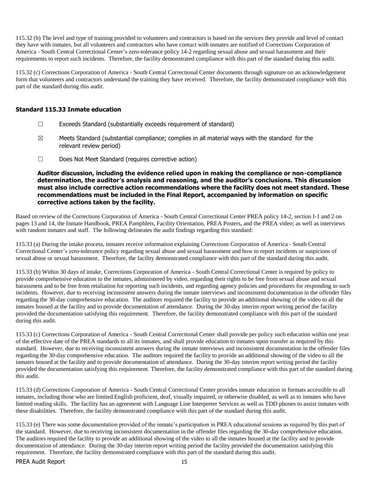115.32 (b) The level and type of training provided to volunteers and contractors is based on the services they provide and level of contact they have with inmates, but all volunteers and contractors who have contact with inmates are notified of Corrections Corporation of America - South Central Correctional Center's zero-tolerance policy 14-2 regarding sexual abuse and sexual harassment and their requirements to report such incidents. Therefore, the facility demonstrated compliance with this part of the standard during this audit.

115.32 (c) Corrections Corporation of America - South Central Correctional Center documents through signature on an acknowledgement form that volunteers and contractors understand the training they have received. Therefore, the facility demonstrated compliance with this part of the standard during this audit.

# **Standard 115.33 Inmate education**

- ☐ Exceeds Standard (substantially exceeds requirement of standard)
- $\boxtimes$  Meets Standard (substantial compliance; complies in all material ways with the standard for the relevant review period)
- ☐ Does Not Meet Standard (requires corrective action)

**Auditor discussion, including the evidence relied upon in making the compliance or non-compliance determination, the auditor's analysis and reasoning, and the auditor's conclusions. This discussion must also include corrective action recommendations where the facility does not meet standard. These recommendations must be included in the Final Report, accompanied by information on specific corrective actions taken by the facility.**

Based on review of the Corrections Corporation of America - South Central Correctional Center PREA policy 14-2, section I-1 and 2 on pages 13 and 14, the Inmate Handbook, PREA Pamphlets, Facility Orientation, PREA Posters, and the PREA video; as well as interviews with random inmates and staff. The following delineates the audit findings regarding this standard:

115.33 (a) During the intake process, inmates receive information explaining Corrections Corporation of America - South Central Correctional Center's zero-tolerance policy regarding sexual abuse and sexual harassment and how to report incidents or suspicions of sexual abuse or sexual harassment. Therefore, the facility demonstrated compliance with this part of the standard during this audit.

115.33 (b) Within 30 days of intake, Corrections Corporation of America - South Central Correctional Center is required by policy to provide comprehensive education to the inmates, administered by video, regarding their rights to be free from sexual abuse and sexual harassment and to be free from retaliation for reporting such incidents, and regarding agency policies and procedures for responding to such incidents. However, due to receiving inconsistent answers during the inmate interviews and inconsistent documentation in the offender files regarding the 30-day comprehensive education. The auditors required the facility to provide an additional showing of the video to all the inmates housed at the facility and to provide documentation of attendance. During the 30-day interim report writing period the facility provided the documentation satisfying this requirement. Therefore, the facility demonstrated compliance with this part of the standard during this audit.

115.33 (c) Corrections Corporation of America - South Central Correctional Center shall provide per policy such education within one year of the effective date of the PREA standards to all its inmates, and shall provide education to inmates upon transfer as required by this standard. However, due to receiving inconsistent answers during the inmate interviews and inconsistent documentation in the offender files regarding the 30-day comprehensive education. The auditors required the facility to provide an additional showing of the video to all the inmates housed at the facility and to provide documentation of attendance. During the 30-day interim report writing period the facility provided the documentation satisfying this requirement. Therefore, the facility demonstrated compliance with this part of the standard during this audit.

115.33 (d) Corrections Corporation of America - South Central Correctional Center provides inmate education in formats accessible to all inmates, including those who are limited English proficient, deaf, visually impaired, or otherwise disabled, as well as to inmates who have limited reading skills. The facility has an agreement with Language Line Interpreter Services as well as TDD phones to assist inmates with these disabilities. Therefore, the facility demonstrated compliance with this part of the standard during this audit.

115.33 (e) There was some documentation provided of the inmate's participation in PREA educational sessions as required by this part of the standard. However, due to receiving inconsistent documentation in the offender files regarding the 30-day comprehensive education. The auditors required the facility to provide an additional showing of the video to all the inmates housed at the facility and to provide documentation of attendance. During the 30-day interim report writing period the facility provided the documentation satisfying this requirement. Therefore, the facility demonstrated compliance with this part of the standard during this audit.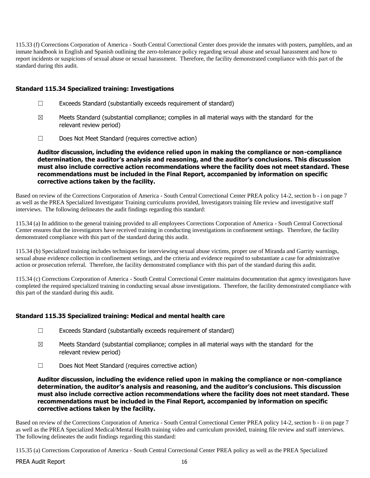115.33 (f) Corrections Corporation of America - South Central Correctional Center does provide the inmates with posters, pamphlets, and an inmate handbook in English and Spanish outlining the zero-tolerance policy regarding sexual abuse and sexual harassment and how to report incidents or suspicions of sexual abuse or sexual harassment. Therefore, the facility demonstrated compliance with this part of the standard during this audit.

# **Standard 115.34 Specialized training: Investigations**

- ☐ Exceeds Standard (substantially exceeds requirement of standard)
- $\boxtimes$  Meets Standard (substantial compliance; complies in all material ways with the standard for the relevant review period)
- ☐ Does Not Meet Standard (requires corrective action)

**Auditor discussion, including the evidence relied upon in making the compliance or non-compliance determination, the auditor's analysis and reasoning, and the auditor's conclusions. This discussion must also include corrective action recommendations where the facility does not meet standard. These recommendations must be included in the Final Report, accompanied by information on specific corrective actions taken by the facility.**

Based on review of the Corrections Corporation of America - South Central Correctional Center PREA policy 14-2, section b - i on page 7 as well as the PREA Specialized Investigator Training curriculums provided, Investigators training file review and investigative staff interviews. The following delineates the audit findings regarding this standard:

115.34 (a) In addition to the general training provided to all employees Corrections Corporation of America - South Central Correctional Center ensures that the investigators have received training in conducting investigations in confinement settings. Therefore, the facility demonstrated compliance with this part of the standard during this audit.

115.34 (b) Specialized training includes techniques for interviewing sexual abuse victims, proper use of Miranda and Garrity warnings, sexual abuse evidence collection in confinement settings, and the criteria and evidence required to substantiate a case for administrative action or prosecution referral. Therefore, the facility demonstrated compliance with this part of the standard during this audit.

115.34 (c) Corrections Corporation of America - South Central Correctional Center maintains documentation that agency investigators have completed the required specialized training in conducting sexual abuse investigations. Therefore, the facility demonstrated compliance with this part of the standard during this audit.

# **Standard 115.35 Specialized training: Medical and mental health care**

- $\Box$  Exceeds Standard (substantially exceeds requirement of standard)
- $\boxtimes$  Meets Standard (substantial compliance; complies in all material ways with the standard for the relevant review period)
- ☐ Does Not Meet Standard (requires corrective action)

**Auditor discussion, including the evidence relied upon in making the compliance or non-compliance determination, the auditor's analysis and reasoning, and the auditor's conclusions. This discussion must also include corrective action recommendations where the facility does not meet standard. These recommendations must be included in the Final Report, accompanied by information on specific corrective actions taken by the facility.**

Based on review of the Corrections Corporation of America - South Central Correctional Center PREA policy 14-2, section b - ii on page 7 as well as the PREA Specialized Medical/Mental Health training video and curriculum provided, training file review and staff interviews. The following delineates the audit findings regarding this standard:

115.35 (a) Corrections Corporation of America - South Central Correctional Center PREA policy as well as the PREA Specialized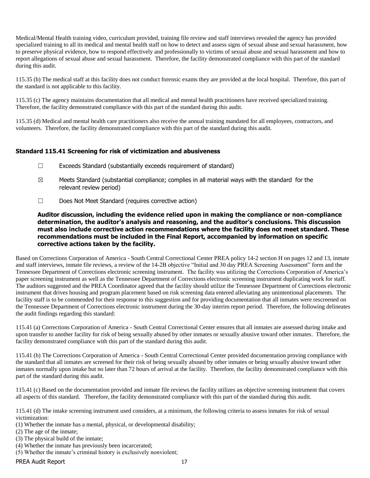Medical/Mental Health training video, curriculum provided, training file review and staff interviews revealed the agency has provided specialized training to all its medical and mental health staff on how to detect and assess signs of sexual abuse and sexual harassment, how to preserve physical evidence, how to respond effectively and professionally to victims of sexual abuse and sexual harassment and how to report allegations of sexual abuse and sexual harassment. Therefore, the facility demonstrated compliance with this part of the standard during this audit.

115.35 (b) The medical staff at this facility does not conduct forensic exams they are provided at the local hospital. Therefore, this part of the standard is not applicable to this facility.

115.35 (c) The agency maintains documentation that all medical and mental health practitioners have received specialized training. Therefore, the facility demonstrated compliance with this part of the standard during this audit.

115.35 (d) Medical and mental health care practitioners also receive the annual training mandated for all employees, contractors, and volunteers. Therefore, the facility demonstrated compliance with this part of the standard during this audit.

# **Standard 115.41 Screening for risk of victimization and abusiveness**

- ☐ Exceeds Standard (substantially exceeds requirement of standard)
- $\boxtimes$  Meets Standard (substantial compliance; complies in all material ways with the standard for the relevant review period)
- ☐ Does Not Meet Standard (requires corrective action)

**Auditor discussion, including the evidence relied upon in making the compliance or non-compliance determination, the auditor's analysis and reasoning, and the auditor's conclusions. This discussion must also include corrective action recommendations where the facility does not meet standard. These recommendations must be included in the Final Report, accompanied by information on specific corrective actions taken by the facility.**

Based on Corrections Corporation of America - South Central Correctional Center PREA policy 14-2 section H on pages 12 and 13, inmate and staff interviews, inmate file reviews, a review of the 14-2B objective "Initial and 30 day PREA Screening Assessment" form and the Tennessee Department of Corrections electronic screening instrument. The facility was utilizing the Corrections Corporation of America's paper screening instrument as well as the Tennessee Department of Corrections electronic screening instrument duplicating work for staff. The auditors suggested and the PREA Coordinator agreed that the facility should utilize the Tennessee Department of Corrections electronic instrument that drives housing and program placement based on risk screening data entered alleviating any unintentional placements. The facility staff is to be commended for their response to this suggestion and for providing documentation that all inmates were rescreened on the Tennessee Department of Corrections electronic instrument during the 30-day interim report period. Therefore, the following delineates the audit findings regarding this standard:

115.41 (a) Corrections Corporation of America - South Central Correctional Center ensures that all inmates are assessed during intake and upon transfer to another facility for risk of being sexually abused by other inmates or sexually abusive toward other inmates. Therefore, the facility demonstrated compliance with this part of the standard during this audit.

115.41 (b) The Corrections Corporation of America - South Central Correctional Center provided documentation proving compliance with the standard that all inmates are screened for their risk of being sexually abused by other inmates or being sexually abusive toward other inmates normally upon intake but no later than 72 hours of arrival at the facility. Therefore, the facility demonstrated compliance with this part of the standard during this audit.

115.41 (c) Based on the documentation provided and inmate file reviews the facility utilizes an objective screening instrument that covers all aspects of this standard. Therefore, the facility demonstrated compliance with this part of the standard during this audit.

115.41 (d) The intake screening instrument used considers, at a minimum, the following criteria to assess inmates for risk of sexual victimization:

- (1) Whether the inmate has a mental, physical, or developmental disability;
- (2) The age of the inmate;
- (3) The physical build of the inmate;
- (4) Whether the inmate has previously been incarcerated;
- (5) Whether the inmate's criminal history is exclusively nonviolent;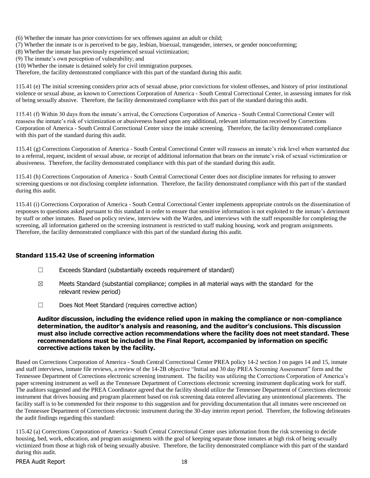- (6) Whether the inmate has prior convictions for sex offenses against an adult or child;
- (7) Whether the inmate is or is perceived to be gay, lesbian, bisexual, transgender, intersex, or gender nonconforming;
- (8) Whether the inmate has previously experienced sexual victimization;
- (9) The inmate's own perception of vulnerability; and
- (10) Whether the inmate is detained solely for civil immigration purposes.

Therefore, the facility demonstrated compliance with this part of the standard during this audit.

115.41 (e) The initial screening considers prior acts of sexual abuse, prior convictions for violent offenses, and history of prior institutional violence or sexual abuse, as known to Corrections Corporation of America - South Central Correctional Center, in assessing inmates for risk of being sexually abusive. Therefore, the facility demonstrated compliance with this part of the standard during this audit.

115.41 (f) Within 30 days from the inmate's arrival, the Corrections Corporation of America - South Central Correctional Center will reassess the inmate's risk of victimization or abusiveness based upon any additional, relevant information received by Corrections Corporation of America - South Central Correctional Center since the intake screening. Therefore, the facility demonstrated compliance with this part of the standard during this audit.

115.41 (g) Corrections Corporation of America - South Central Correctional Center will reassess an inmate's risk level when warranted due to a referral, request, incident of sexual abuse, or receipt of additional information that bears on the inmate's risk of sexual victimization or abusiveness. Therefore, the facility demonstrated compliance with this part of the standard during this audit.

115.41 (h) Corrections Corporation of America - South Central Correctional Center does not discipline inmates for refusing to answer screening questions or not disclosing complete information. Therefore, the facility demonstrated compliance with this part of the standard during this audit.

115.41 (i) Corrections Corporation of America - South Central Correctional Center implements appropriate controls on the dissemination of responses to questions asked pursuant to this standard in order to ensure that sensitive information is not exploited to the inmate's detriment by staff or other inmates. Based on policy review, interview with the Warden, and interviews with the staff responsible for completing the screening, all information gathered on the screening instrument is restricted to staff making housing, work and program assignments. Therefore, the facility demonstrated compliance with this part of the standard during this audit.

# **Standard 115.42 Use of screening information**

- $\Box$  Exceeds Standard (substantially exceeds requirement of standard)
- $\boxtimes$  Meets Standard (substantial compliance; complies in all material ways with the standard for the relevant review period)
- ☐ Does Not Meet Standard (requires corrective action)

# **Auditor discussion, including the evidence relied upon in making the compliance or non-compliance determination, the auditor's analysis and reasoning, and the auditor's conclusions. This discussion must also include corrective action recommendations where the facility does not meet standard. These recommendations must be included in the Final Report, accompanied by information on specific corrective actions taken by the facility.**

Based on Corrections Corporation of America - South Central Correctional Center PREA policy 14-2 section J on pages 14 and 15, inmate and staff interviews, inmate file reviews, a review of the 14-2B objective "Initial and 30 day PREA Screening Assessment" form and the Tennessee Department of Corrections electronic screening instrument. The facility was utilizing the Corrections Corporation of America's paper screening instrument as well as the Tennessee Department of Corrections electronic screening instrument duplicating work for staff. The auditors suggested and the PREA Coordinator agreed that the facility should utilize the Tennessee Department of Corrections electronic instrument that drives housing and program placement based on risk screening data entered alleviating any unintentional placements. The facility staff is to be commended for their response to this suggestion and for providing documentation that all inmates were rescreened on the Tennessee Department of Corrections electronic instrument during the 30-day interim report period. Therefore, the following delineates the audit findings regarding this standard:

115.42 (a) Corrections Corporation of America - South Central Correctional Center uses information from the risk screening to decide housing, bed, work, education, and program assignments with the goal of keeping separate those inmates at high risk of being sexually victimized from those at high risk of being sexually abusive. Therefore, the facility demonstrated compliance with this part of the standard during this audit.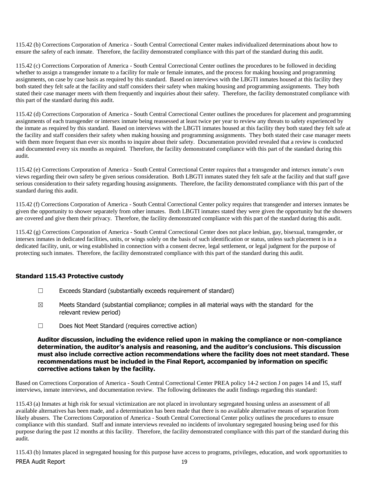115.42 (b) Corrections Corporation of America - South Central Correctional Center makes individualized determinations about how to ensure the safety of each inmate. Therefore, the facility demonstrated compliance with this part of the standard during this audit.

115.42 (c) Corrections Corporation of America - South Central Correctional Center outlines the procedures to be followed in deciding whether to assign a transgender inmate to a facility for male or female inmates, and the process for making housing and programming assignments, on case by case basis as required by this standard. Based on interviews with the LBGTI inmates housed at this facility they both stated they felt safe at the facility and staff considers their safety when making housing and programming assignments. They both stated their case manager meets with them frequently and inquiries about their safety. Therefore, the facility demonstrated compliance with this part of the standard during this audit.

115.42 (d) Corrections Corporation of America - South Central Correctional Center outlines the procedures for placement and programming assignments of each transgender or intersex inmate being reassessed at least twice per year to review any threats to safety experienced by the inmate as required by this standard. Based on interviews with the LBGTI inmates housed at this facility they both stated they felt safe at the facility and staff considers their safety when making housing and programming assignments. They both stated their case manager meets with them more frequent than ever six months to inquire about their safety. Documentation provided revealed that a review is conducted and documented every six months as required. Therefore, the facility demonstrated compliance with this part of the standard during this audit.

115.42 (e) Corrections Corporation of America - South Central Correctional Center requires that a transgender and intersex inmate's own views regarding their own safety be given serious consideration. Both LBGTI inmates stated they felt safe at the facility and that staff gave serious consideration to their safety regarding housing assignments. Therefore, the facility demonstrated compliance with this part of the standard during this audit.

115.42 (f) Corrections Corporation of America - South Central Correctional Center policy requires that transgender and intersex inmates be given the opportunity to shower separately from other inmates. Both LBGTI inmates stated they were given the opportunity but the showers are covered and give them their privacy. Therefore, the facility demonstrated compliance with this part of the standard during this audit.

115.42 (g) Corrections Corporation of America - South Central Correctional Center does not place lesbian, gay, bisexual, transgender, or intersex inmates in dedicated facilities, units, or wings solely on the basis of such identification or status, unless such placement is in a dedicated facility, unit, or wing established in connection with a consent decree, legal settlement, or legal judgment for the purpose of protecting such inmates. Therefore, the facility demonstrated compliance with this part of the standard during this audit.

# **Standard 115.43 Protective custody**

- ☐ Exceeds Standard (substantially exceeds requirement of standard)
- $\boxtimes$  Meets Standard (substantial compliance; complies in all material ways with the standard for the relevant review period)
- ☐ Does Not Meet Standard (requires corrective action)

#### **Auditor discussion, including the evidence relied upon in making the compliance or non-compliance determination, the auditor's analysis and reasoning, and the auditor's conclusions. This discussion must also include corrective action recommendations where the facility does not meet standard. These recommendations must be included in the Final Report, accompanied by information on specific corrective actions taken by the facility.**

Based on Corrections Corporation of America - South Central Correctional Center PREA policy 14-2 section J on pages 14 and 15, staff interviews, inmate interviews, and documentation review. The following delineates the audit findings regarding this standard:

115.43 (a) Inmates at high risk for sexual victimization are not placed in involuntary segregated housing unless an assessment of all available alternatives has been made, and a determination has been made that there is no available alternative means of separation from likely abusers. The Corrections Corporation of America - South Central Correctional Center policy outlines the procedures to ensure compliance with this standard. Staff and inmate interviews revealed no incidents of involuntary segregated housing being used for this purpose during the past 12 months at this facility. Therefore, the facility demonstrated compliance with this part of the standard during this audit.

PREA Audit Report 19 115.43 (b) Inmates placed in segregated housing for this purpose have access to programs, privileges, education, and work opportunities to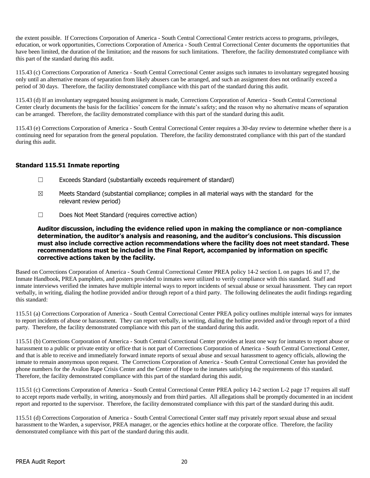the extent possible. If Corrections Corporation of America - South Central Correctional Center restricts access to programs, privileges, education, or work opportunities, Corrections Corporation of America - South Central Correctional Center documents the opportunities that have been limited, the duration of the limitation; and the reasons for such limitations. Therefore, the facility demonstrated compliance with this part of the standard during this audit.

115.43 (c) Corrections Corporation of America - South Central Correctional Center assigns such inmates to involuntary segregated housing only until an alternative means of separation from likely abusers can be arranged, and such an assignment does not ordinarily exceed a period of 30 days. Therefore, the facility demonstrated compliance with this part of the standard during this audit.

115.43 (d) If an involuntary segregated housing assignment is made, Corrections Corporation of America - South Central Correctional Center clearly documents the basis for the facilities' concern for the inmate's safety; and the reason why no alternative means of separation can be arranged. Therefore, the facility demonstrated compliance with this part of the standard during this audit.

115.43 (e) Corrections Corporation of America - South Central Correctional Center requires a 30-day review to determine whether there is a continuing need for separation from the general population. Therefore, the facility demonstrated compliance with this part of the standard during this audit.

# **Standard 115.51 Inmate reporting**

- ☐ Exceeds Standard (substantially exceeds requirement of standard)
- $\boxtimes$  Meets Standard (substantial compliance; complies in all material ways with the standard for the relevant review period)
- ☐ Does Not Meet Standard (requires corrective action)

**Auditor discussion, including the evidence relied upon in making the compliance or non-compliance determination, the auditor's analysis and reasoning, and the auditor's conclusions. This discussion must also include corrective action recommendations where the facility does not meet standard. These recommendations must be included in the Final Report, accompanied by information on specific corrective actions taken by the facility.**

Based on Corrections Corporation of America - South Central Correctional Center PREA policy 14-2 section L on pages 16 and 17, the Inmate Handbook, PREA pamphlets, and posters provided to inmates were utilized to verify compliance with this standard. Staff and inmate interviews verified the inmates have multiple internal ways to report incidents of sexual abuse or sexual harassment. They can report verbally, in writing, dialing the hotline provided and/or through report of a third party. The following delineates the audit findings regarding this standard:

115.51 (a) Corrections Corporation of America - South Central Correctional Center PREA policy outlines multiple internal ways for inmates to report incidents of abuse or harassment. They can report verbally, in writing, dialing the hotline provided and/or through report of a third party. Therefore, the facility demonstrated compliance with this part of the standard during this audit.

115.51 (b) Corrections Corporation of America - South Central Correctional Center provides at least one way for inmates to report abuse or harassment to a public or private entity or office that is not part of Corrections Corporation of America - South Central Correctional Center, and that is able to receive and immediately forward inmate reports of sexual abuse and sexual harassment to agency officials, allowing the inmate to remain anonymous upon request. The Corrections Corporation of America - South Central Correctional Center has provided the phone numbers for the Avalon Rape Crisis Center and the Center of Hope to the inmates satisfying the requirements of this standard. Therefore, the facility demonstrated compliance with this part of the standard during this audit.

115.51 (c) Corrections Corporation of America - South Central Correctional Center PREA policy 14-2 section L-2 page 17 requires all staff to accept reports made verbally, in writing, anonymously and from third parties. All allegations shall be promptly documented in an incident report and reported to the supervisor. Therefore, the facility demonstrated compliance with this part of the standard during this audit.

115.51 (d) Corrections Corporation of America - South Central Correctional Center staff may privately report sexual abuse and sexual harassment to the Warden, a supervisor, PREA manager, or the agencies ethics hotline at the corporate office. Therefore, the facility demonstrated compliance with this part of the standard during this audit.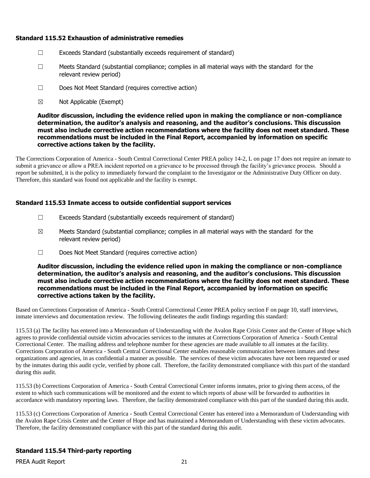# **Standard 115.52 Exhaustion of administrative remedies**

- ☐ Exceeds Standard (substantially exceeds requirement of standard)
- $\Box$  Meets Standard (substantial compliance; complies in all material ways with the standard for the relevant review period)
- ☐ Does Not Meet Standard (requires corrective action)
- $\boxtimes$  Not Applicable (Exempt)

**Auditor discussion, including the evidence relied upon in making the compliance or non-compliance determination, the auditor's analysis and reasoning, and the auditor's conclusions. This discussion must also include corrective action recommendations where the facility does not meet standard. These recommendations must be included in the Final Report, accompanied by information on specific corrective actions taken by the facility.**

The Corrections Corporation of America - South Central Correctional Center PREA policy 14-2, L on page 17 does not require an inmate to submit a grievance or allow a PREA incident reported on a grievance to be processed through the facility's grievance process. Should a report be submitted, it is the policy to immediately forward the complaint to the Investigator or the Administrative Duty Officer on duty. Therefore, this standard was found not applicable and the facility is exempt.

#### **Standard 115.53 Inmate access to outside confidential support services**

- $\Box$  Exceeds Standard (substantially exceeds requirement of standard)
- $\boxtimes$  Meets Standard (substantial compliance; complies in all material ways with the standard for the relevant review period)
- ☐ Does Not Meet Standard (requires corrective action)

**Auditor discussion, including the evidence relied upon in making the compliance or non-compliance determination, the auditor's analysis and reasoning, and the auditor's conclusions. This discussion must also include corrective action recommendations where the facility does not meet standard. These recommendations must be included in the Final Report, accompanied by information on specific corrective actions taken by the facility.**

Based on Corrections Corporation of America - South Central Correctional Center PREA policy section F on page 10, staff interviews, inmate interviews and documentation review. The following delineates the audit findings regarding this standard:

115.53 (a) The facility has entered into a Memorandum of Understanding with the Avalon Rape Crisis Center and the Center of Hope which agrees to provide confidential outside victim advocacies services to the inmates at Corrections Corporation of America - South Central Correctional Center. The mailing address and telephone number for these agencies are made available to all inmates at the facility. Corrections Corporation of America - South Central Correctional Center enables reasonable communication between inmates and these organizations and agencies, in as confidential a manner as possible. The services of these victim advocates have not been requested or used by the inmates during this audit cycle, verified by phone call. Therefore, the facility demonstrated compliance with this part of the standard during this audit.

115.53 (b) Corrections Corporation of America - South Central Correctional Center informs inmates, prior to giving them access, of the extent to which such communications will be monitored and the extent to which reports of abuse will be forwarded to authorities in accordance with mandatory reporting laws. Therefore, the facility demonstrated compliance with this part of the standard during this audit.

115.53 (c) Corrections Corporation of America - South Central Correctional Center has entered into a Memorandum of Understanding with the Avalon Rape Crisis Center and the Center of Hope and has maintained a Memorandum of Understanding with these victim advocates. Therefore, the facility demonstrated compliance with this part of the standard during this audit.

# **Standard 115.54 Third-party reporting**

PREA Audit Report 21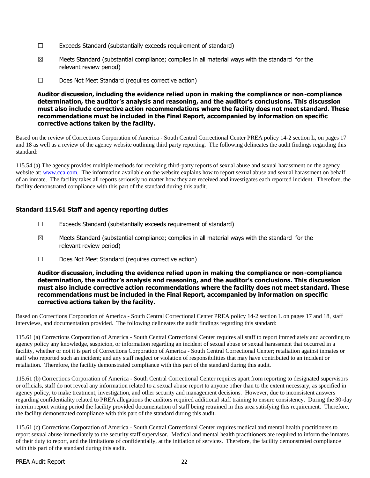- $\Box$  Exceeds Standard (substantially exceeds requirement of standard)
- $\boxtimes$  Meets Standard (substantial compliance; complies in all material ways with the standard for the relevant review period)
- ☐ Does Not Meet Standard (requires corrective action)

### **Auditor discussion, including the evidence relied upon in making the compliance or non-compliance determination, the auditor's analysis and reasoning, and the auditor's conclusions. This discussion must also include corrective action recommendations where the facility does not meet standard. These recommendations must be included in the Final Report, accompanied by information on specific corrective actions taken by the facility.**

Based on the review of Corrections Corporation of America - South Central Correctional Center PREA policy 14-2 section L, on pages 17 and 18 as well as a review of the agency website outlining third party reporting. The following delineates the audit findings regarding this standard:

115.54 (a) The agency provides multiple methods for receiving third-party reports of sexual abuse and sexual harassment on the agency website at: [www.cca.com.](http://www.cca.com/) The information available on the website explains how to report sexual abuse and sexual harassment on behalf of an inmate. The facility takes all reports seriously no matter how they are received and investigates each reported incident. Therefore, the facility demonstrated compliance with this part of the standard during this audit.

# **Standard 115.61 Staff and agency reporting duties**

- $\Box$  Exceeds Standard (substantially exceeds requirement of standard)
- $\boxtimes$  Meets Standard (substantial compliance; complies in all material ways with the standard for the relevant review period)
- ☐ Does Not Meet Standard (requires corrective action)

#### **Auditor discussion, including the evidence relied upon in making the compliance or non-compliance determination, the auditor's analysis and reasoning, and the auditor's conclusions. This discussion must also include corrective action recommendations where the facility does not meet standard. These recommendations must be included in the Final Report, accompanied by information on specific corrective actions taken by the facility.**

Based on Corrections Corporation of America - South Central Correctional Center PREA policy 14-2 section L on pages 17 and 18, staff interviews, and documentation provided. The following delineates the audit findings regarding this standard:

115.61 (a) Corrections Corporation of America - South Central Correctional Center requires all staff to report immediately and according to agency policy any knowledge, suspicion, or information regarding an incident of sexual abuse or sexual harassment that occurred in a facility, whether or not it is part of Corrections Corporation of America - South Central Correctional Center; retaliation against inmates or staff who reported such an incident; and any staff neglect or violation of responsibilities that may have contributed to an incident or retaliation. Therefore, the facility demonstrated compliance with this part of the standard during this audit.

115.61 (b) Corrections Corporation of America - South Central Correctional Center requires apart from reporting to designated supervisors or officials, staff do not reveal any information related to a sexual abuse report to anyone other than to the extent necessary, as specified in agency policy, to make treatment, investigation, and other security and management decisions. However, due to inconsistent answers regarding confidentiality related to PREA allegations the auditors required additional staff training to ensure consistency. During the 30-day interim report writing period the facility provided documentation of staff being retrained in this area satisfying this requirement. Therefore, the facility demonstrated compliance with this part of the standard during this audit.

115.61 (c) Corrections Corporation of America - South Central Correctional Center requires medical and mental health practitioners to report sexual abuse immediately to the security staff supervisor. Medical and mental health practitioners are required to inform the inmates of their duty to report, and the limitations of confidentially, at the initiation of services. Therefore, the facility demonstrated compliance with this part of the standard during this audit.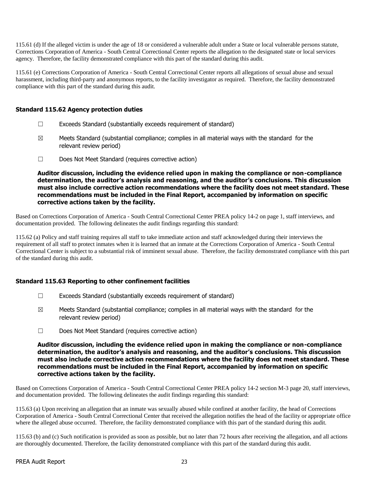115.61 (d) If the alleged victim is under the age of 18 or considered a vulnerable adult under a State or local vulnerable persons statute, Corrections Corporation of America - South Central Correctional Center reports the allegation to the designated state or local services agency. Therefore, the facility demonstrated compliance with this part of the standard during this audit.

115.61 (e) Corrections Corporation of America - South Central Correctional Center reports all allegations of sexual abuse and sexual harassment, including third-party and anonymous reports, to the facility investigator as required. Therefore, the facility demonstrated compliance with this part of the standard during this audit.

# **Standard 115.62 Agency protection duties**

- ☐ Exceeds Standard (substantially exceeds requirement of standard)
- $\boxtimes$  Meets Standard (substantial compliance; complies in all material ways with the standard for the relevant review period)
- ☐ Does Not Meet Standard (requires corrective action)

**Auditor discussion, including the evidence relied upon in making the compliance or non-compliance determination, the auditor's analysis and reasoning, and the auditor's conclusions. This discussion must also include corrective action recommendations where the facility does not meet standard. These recommendations must be included in the Final Report, accompanied by information on specific corrective actions taken by the facility.**

Based on Corrections Corporation of America - South Central Correctional Center PREA policy 14-2 on page 1, staff interviews, and documentation provided. The following delineates the audit findings regarding this standard:

115.62 (a) Policy and staff training requires all staff to take immediate action and staff acknowledged during their interviews the requirement of all staff to protect inmates when it is learned that an inmate at the Corrections Corporation of America - South Central Correctional Center is subject to a substantial risk of imminent sexual abuse. Therefore, the facility demonstrated compliance with this part of the standard during this audit.

# **Standard 115.63 Reporting to other confinement facilities**

- ☐ Exceeds Standard (substantially exceeds requirement of standard)
- $\boxtimes$  Meets Standard (substantial compliance; complies in all material ways with the standard for the relevant review period)
- ☐ Does Not Meet Standard (requires corrective action)

**Auditor discussion, including the evidence relied upon in making the compliance or non-compliance determination, the auditor's analysis and reasoning, and the auditor's conclusions. This discussion must also include corrective action recommendations where the facility does not meet standard. These recommendations must be included in the Final Report, accompanied by information on specific corrective actions taken by the facility.**

Based on Corrections Corporation of America - South Central Correctional Center PREA policy 14-2 section M-3 page 20, staff interviews, and documentation provided. The following delineates the audit findings regarding this standard:

115.63 (a) Upon receiving an allegation that an inmate was sexually abused while confined at another facility, the head of Corrections Corporation of America - South Central Correctional Center that received the allegation notifies the head of the facility or appropriate office where the alleged abuse occurred. Therefore, the facility demonstrated compliance with this part of the standard during this audit.

115.63 (b) and (c) Such notification is provided as soon as possible, but no later than 72 hours after receiving the allegation, and all actions are thoroughly documented. Therefore, the facility demonstrated compliance with this part of the standard during this audit.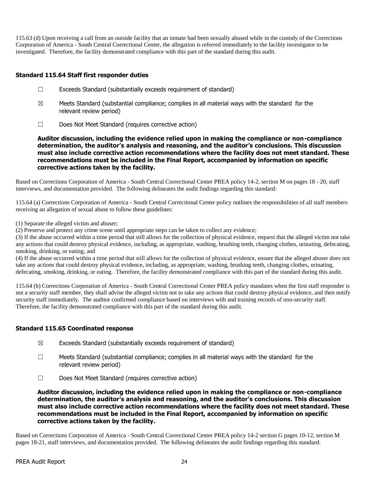115.63 (d) Upon receiving a call from an outside facility that an inmate had been sexually abused while in the custody of the Corrections Corporation of America - South Central Correctional Center, the allegation is referred immediately to the facility investigator to be investigated. Therefore, the facility demonstrated compliance with this part of the standard during this audit.

# **Standard 115.64 Staff first responder duties**

- ☐ Exceeds Standard (substantially exceeds requirement of standard)
- $\boxtimes$  Meets Standard (substantial compliance; complies in all material ways with the standard for the relevant review period)
- ☐ Does Not Meet Standard (requires corrective action)

**Auditor discussion, including the evidence relied upon in making the compliance or non-compliance determination, the auditor's analysis and reasoning, and the auditor's conclusions. This discussion must also include corrective action recommendations where the facility does not meet standard. These recommendations must be included in the Final Report, accompanied by information on specific corrective actions taken by the facility.**

Based on Corrections Corporation of America - South Central Correctional Center PREA policy 14-2, section M on pages 18 - 20, staff interviews, and documentation provided. The following delineates the audit findings regarding this standard:

115.64 (a) Corrections Corporation of America - South Central Correctional Center policy outlines the responsibilities of all staff members receiving an allegation of sexual abuse to follow these guidelines:

(1) Separate the alleged victim and abuser;

(2) Preserve and protect any crime scene until appropriate steps can be taken to collect any evidence;

(3) If the abuse occurred within a time period that still allows for the collection of physical evidence, request that the alleged victim not take any actions that could destroy physical evidence, including, as appropriate, washing, brushing teeth, changing clothes, urinating, defecating, smoking, drinking, or eating; and

(4) If the abuse occurred within a time period that still allows for the collection of physical evidence, ensure that the alleged abuser does not take any actions that could destroy physical evidence, including, as appropriate, washing, brushing teeth, changing clothes, urinating, defecating, smoking, drinking, or eating. Therefore, the facility demonstrated compliance with this part of the standard during this audit.

115.64 (b) Corrections Corporation of America - South Central Correctional Center PREA policy mandates when the first staff responder is not a security staff member, they shall advise the alleged victim not to take any actions that could destroy physical evidence, and then notify security staff immediately. The auditor confirmed compliance based on interviews with and training records of non-security staff. Therefore, the facility demonstrated compliance with this part of the standard during this audit.

# **Standard 115.65 Coordinated response**

- $\boxtimes$  Exceeds Standard (substantially exceeds requirement of standard)
- $\Box$  Meets Standard (substantial compliance; complies in all material ways with the standard for the relevant review period)
- ☐ Does Not Meet Standard (requires corrective action)

**Auditor discussion, including the evidence relied upon in making the compliance or non-compliance determination, the auditor's analysis and reasoning, and the auditor's conclusions. This discussion must also include corrective action recommendations where the facility does not meet standard. These recommendations must be included in the Final Report, accompanied by information on specific corrective actions taken by the facility.**

Based on Corrections Corporation of America - South Central Correctional Center PREA policy 14-2 section G pages 10-12, section M pages 18-21, staff interviews, and documentation provided. The following delineates the audit findings regarding this standard: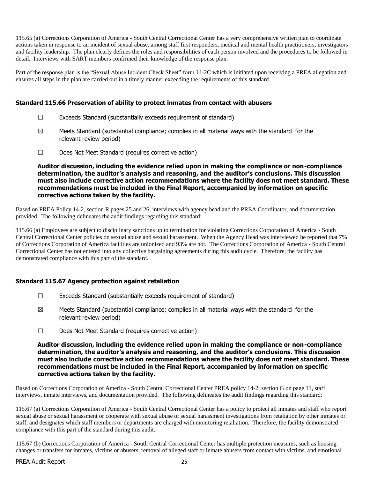115.65 (a) Corrections Corporation of America - South Central Correctional Center has a very comprehensive written plan to coordinate actions taken in response to an incident of sexual abuse, among staff first responders, medical and mental health practitioners, investigators and facility leadership. The plan clearly defines the roles and responsibilities of each person involved and the procedures to be followed in detail. Interviews with SART members confirmed their knowledge of the response plan.

Part of the response plan is the "Sexual Abuse Incident Check Sheet" form 14-2C which is initiated upon receiving a PREA allegation and ensures all steps in the plan are carried out in a timely manner exceeding the requirements of this standard.

# **Standard 115.66 Preservation of ability to protect inmates from contact with abusers**

- $\Box$  Exceeds Standard (substantially exceeds requirement of standard)
- $\boxtimes$  Meets Standard (substantial compliance; complies in all material ways with the standard for the relevant review period)
- ☐ Does Not Meet Standard (requires corrective action)

**Auditor discussion, including the evidence relied upon in making the compliance or non-compliance determination, the auditor's analysis and reasoning, and the auditor's conclusions. This discussion must also include corrective action recommendations where the facility does not meet standard. These recommendations must be included in the Final Report, accompanied by information on specific corrective actions taken by the facility.**

Based on PREA Policy 14-2, section R pages 25 and 26, interviews with agency head and the PREA Coordinator, and documentation provided. The following delineates the audit findings regarding this standard:

115.66 (a) Employees are subject to disciplinary sanctions up to termination for violating Corrections Corporation of America - South Central Correctional Center policies on sexual abuse and sexual harassment. When the Agency Head was interviewed he reported that 7% of Corrections Corporation of America facilities are unionized and 93% are not. The Corrections Corporation of America - South Central Correctional Center has not entered into any collective bargaining agreements during this audit cycle. Therefore, the facility has demonstrated compliance with this part of the standard.

# **Standard 115.67 Agency protection against retaliation**

- ☐ Exceeds Standard (substantially exceeds requirement of standard)
- $\boxtimes$  Meets Standard (substantial compliance; complies in all material ways with the standard for the relevant review period)
- ☐ Does Not Meet Standard (requires corrective action)

**Auditor discussion, including the evidence relied upon in making the compliance or non-compliance determination, the auditor's analysis and reasoning, and the auditor's conclusions. This discussion must also include corrective action recommendations where the facility does not meet standard. These recommendations must be included in the Final Report, accompanied by information on specific corrective actions taken by the facility.**

Based on Corrections Corporation of America - South Central Correctional Center PREA policy 14-2, section G on page 11, staff interviews, inmate interviews, and documentation provided. The following delineates the audit findings regarding this standard:

115.67 (a) Corrections Corporation of America - South Central Correctional Center has a policy to protect all inmates and staff who report sexual abuse or sexual harassment or cooperate with sexual abuse or sexual harassment investigations from retaliation by other inmates or staff, and designates which staff members or departments are charged with monitoring retaliation. Therefore, the facility demonstrated compliance with this part of the standard during this audit.

115.67 (b) Corrections Corporation of America - South Central Correctional Center has multiple protection measures, such as housing changes or transfers for inmates, victims or abusers, removal of alleged staff or inmate abusers from contact with victims, and emotional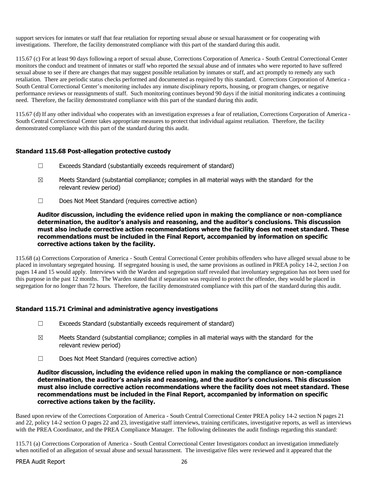support services for inmates or staff that fear retaliation for reporting sexual abuse or sexual harassment or for cooperating with investigations. Therefore, the facility demonstrated compliance with this part of the standard during this audit.

115.67 (c) For at least 90 days following a report of sexual abuse, Corrections Corporation of America - South Central Correctional Center monitors the conduct and treatment of inmates or staff who reported the sexual abuse and of inmates who were reported to have suffered sexual abuse to see if there are changes that may suggest possible retaliation by inmates or staff, and act promptly to remedy any such retaliation. There are periodic status checks performed and documented as required by this standard. Corrections Corporation of America - South Central Correctional Center's monitoring includes any inmate disciplinary reports, housing, or program changes, or negative performance reviews or reassignments of staff. Such monitoring continues beyond 90 days if the initial monitoring indicates a continuing need. Therefore, the facility demonstrated compliance with this part of the standard during this audit.

115.67 (d) If any other individual who cooperates with an investigation expresses a fear of retaliation, Corrections Corporation of America - South Central Correctional Center takes appropriate measures to protect that individual against retaliation. Therefore, the facility demonstrated compliance with this part of the standard during this audit.

# **Standard 115.68 Post-allegation protective custody**

- ☐ Exceeds Standard (substantially exceeds requirement of standard)
- $\boxtimes$  Meets Standard (substantial compliance; complies in all material ways with the standard for the relevant review period)
- ☐ Does Not Meet Standard (requires corrective action)

**Auditor discussion, including the evidence relied upon in making the compliance or non-compliance determination, the auditor's analysis and reasoning, and the auditor's conclusions. This discussion must also include corrective action recommendations where the facility does not meet standard. These recommendations must be included in the Final Report, accompanied by information on specific corrective actions taken by the facility.**

115.68 (a) Corrections Corporation of America - South Central Correctional Center prohibits offenders who have alleged sexual abuse to be placed in involuntary segregated housing. If segregated housing is used, the same provisions as outlined in PREA policy 14-2, section J on pages 14 and 15 would apply. Interviews with the Warden and segregation staff revealed that involuntary segregation has not been used for this purpose in the past 12 months. The Warden stated that if separation was required to protect the offender, they would be placed in segregation for no longer than 72 hours. Therefore, the facility demonstrated compliance with this part of the standard during this audit.

# **Standard 115.71 Criminal and administrative agency investigations**

- $\Box$  Exceeds Standard (substantially exceeds requirement of standard)
- $\boxtimes$  Meets Standard (substantial compliance; complies in all material ways with the standard for the relevant review period)
- ☐ Does Not Meet Standard (requires corrective action)

**Auditor discussion, including the evidence relied upon in making the compliance or non-compliance determination, the auditor's analysis and reasoning, and the auditor's conclusions. This discussion must also include corrective action recommendations where the facility does not meet standard. These recommendations must be included in the Final Report, accompanied by information on specific corrective actions taken by the facility.**

Based upon review of the Corrections Corporation of America - South Central Correctional Center PREA policy 14-2 section N pages 21 and 22, policy 14-2 section O pages 22 and 23, investigative staff interviews, training certificates, investigative reports, as well as interviews with the PREA Coordinator, and the PREA Compliance Manager. The following delineates the audit findings regarding this standard:

115.71 (a) Corrections Corporation of America - South Central Correctional Center Investigators conduct an investigation immediately when notified of an allegation of sexual abuse and sexual harassment. The investigative files were reviewed and it appeared that the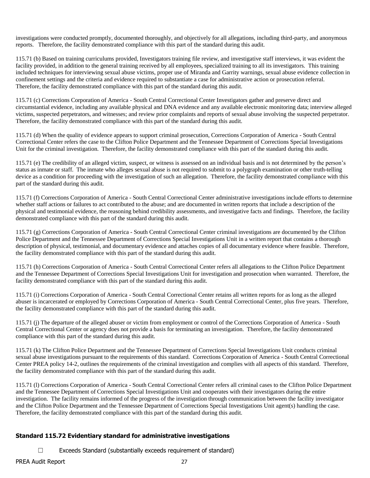investigations were conducted promptly, documented thoroughly, and objectively for all allegations, including third-party, and anonymous reports. Therefore, the facility demonstrated compliance with this part of the standard during this audit.

115.71 (b) Based on training curriculums provided, Investigators training file review, and investigative staff interviews, it was evident the facility provided, in addition to the general training received by all employees, specialized training to all its investigators. This training included techniques for interviewing sexual abuse victims, proper use of Miranda and Garrity warnings, sexual abuse evidence collection in confinement settings and the criteria and evidence required to substantiate a case for administrative action or prosecution referral. Therefore, the facility demonstrated compliance with this part of the standard during this audit.

115.71 (c) Corrections Corporation of America - South Central Correctional Center Investigators gather and preserve direct and circumstantial evidence, including any available physical and DNA evidence and any available electronic monitoring data; interview alleged victims, suspected perpetrators, and witnesses; and review prior complaints and reports of sexual abuse involving the suspected perpetrator. Therefore, the facility demonstrated compliance with this part of the standard during this audit.

115.71 (d) When the quality of evidence appears to support criminal prosecution, Corrections Corporation of America - South Central Correctional Center refers the case to the Clifton Police Department and the Tennessee Department of Corrections Special Investigations Unit for the criminal investigation. Therefore, the facility demonstrated compliance with this part of the standard during this audit.

115.71 (e) The credibility of an alleged victim, suspect, or witness is assessed on an individual basis and is not determined by the person's status as inmate or staff. The inmate who alleges sexual abuse is not required to submit to a polygraph examination or other truth-telling device as a condition for proceeding with the investigation of such an allegation. Therefore, the facility demonstrated compliance with this part of the standard during this audit.

115.71 (f) Corrections Corporation of America - South Central Correctional Center administrative investigations include efforts to determine whether staff actions or failures to act contributed to the abuse; and are documented in written reports that include a description of the physical and testimonial evidence, the reasoning behind credibility assessments, and investigative facts and findings. Therefore, the facility demonstrated compliance with this part of the standard during this audit.

115.71 (g) Corrections Corporation of America - South Central Correctional Center criminal investigations are documented by the Clifton Police Department and the Tennessee Department of Corrections Special Investigations Unit in a written report that contains a thorough description of physical, testimonial, and documentary evidence and attaches copies of all documentary evidence where feasible. Therefore, the facility demonstrated compliance with this part of the standard during this audit.

115.71 (h) Corrections Corporation of America - South Central Correctional Center refers all allegations to the Clifton Police Department and the Tennessee Department of Corrections Special Investigations Unit for investigation and prosecution when warranted. Therefore, the facility demonstrated compliance with this part of the standard during this audit.

115.71 (i) Corrections Corporation of America - South Central Correctional Center retains all written reports for as long as the alleged abuser is incarcerated or employed by Corrections Corporation of America - South Central Correctional Center, plus five years. Therefore, the facility demonstrated compliance with this part of the standard during this audit.

115.71 (j) The departure of the alleged abuser or victim from employment or control of the Corrections Corporation of America - South Central Correctional Center or agency does not provide a basis for terminating an investigation. Therefore, the facility demonstrated compliance with this part of the standard during this audit.

115.71 (k) The Clifton Police Department and the Tennessee Department of Corrections Special Investigations Unit conducts criminal sexual abuse investigations pursuant to the requirements of this standard. Corrections Corporation of America - South Central Correctional Center PREA policy 14-2, outlines the requirements of the criminal investigation and complies with all aspects of this standard. Therefore, the facility demonstrated compliance with this part of the standard during this audit.

115.71 (l) Corrections Corporation of America - South Central Correctional Center refers all criminal cases to the Clifton Police Department and the Tennessee Department of Corrections Special Investigations Unit and cooperates with their investigators during the entire investigation. The facility remains informed of the progress of the investigation through communication between the facility investigator and the Clifton Police Department and the Tennessee Department of Corrections Special Investigations Unit agent(s) handling the case. Therefore, the facility demonstrated compliance with this part of the standard during this audit.

# **Standard 115.72 Evidentiary standard for administrative investigations**

 $\Box$  Exceeds Standard (substantially exceeds requirement of standard)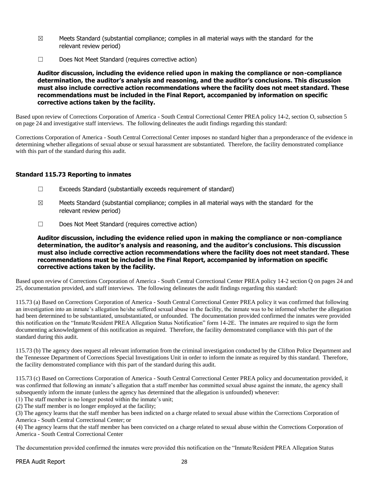- $\boxtimes$  Meets Standard (substantial compliance; complies in all material ways with the standard for the relevant review period)
- ☐ Does Not Meet Standard (requires corrective action)

#### **Auditor discussion, including the evidence relied upon in making the compliance or non-compliance determination, the auditor's analysis and reasoning, and the auditor's conclusions. This discussion must also include corrective action recommendations where the facility does not meet standard. These recommendations must be included in the Final Report, accompanied by information on specific corrective actions taken by the facility.**

Based upon review of Corrections Corporation of America - South Central Correctional Center PREA policy 14-2, section O, subsection 5 on page 24 and investigative staff interviews. The following delineates the audit findings regarding this standard:

Corrections Corporation of America - South Central Correctional Center imposes no standard higher than a preponderance of the evidence in determining whether allegations of sexual abuse or sexual harassment are substantiated. Therefore, the facility demonstrated compliance with this part of the standard during this audit.

# **Standard 115.73 Reporting to inmates**

- ☐ Exceeds Standard (substantially exceeds requirement of standard)
- $\boxtimes$  Meets Standard (substantial compliance; complies in all material ways with the standard for the relevant review period)
- ☐ Does Not Meet Standard (requires corrective action)

### **Auditor discussion, including the evidence relied upon in making the compliance or non-compliance determination, the auditor's analysis and reasoning, and the auditor's conclusions. This discussion must also include corrective action recommendations where the facility does not meet standard. These recommendations must be included in the Final Report, accompanied by information on specific corrective actions taken by the facility.**

Based upon review of Corrections Corporation of America - South Central Correctional Center PREA policy 14-2 section Q on pages 24 and 25, documentation provided, and staff interviews. The following delineates the audit findings regarding this standard:

115.73 (a) Based on Corrections Corporation of America - South Central Correctional Center PREA policy it was confirmed that following an investigation into an inmate's allegation he/she suffered sexual abuse in the facility, the inmate was to be informed whether the allegation had been determined to be substantiated, unsubstantiated, or unfounded. The documentation provided confirmed the inmates were provided this notification on the "Inmate/Resident PREA Allegation Status Notification" form 14-2E. The inmates are required to sign the form documenting acknowledgement of this notification as required. Therefore, the facility demonstrated compliance with this part of the standard during this audit.

115.73 (b) The agency does request all relevant information from the criminal investigation conducted by the Clifton Police Department and the Tennessee Department of Corrections Special Investigations Unit in order to inform the inmate as required by this standard. Therefore, the facility demonstrated compliance with this part of the standard during this audit.

115.73 (c) Based on Corrections Corporation of America - South Central Correctional Center PREA policy and documentation provided, it was confirmed that following an inmate's allegation that a staff member has committed sexual abuse against the inmate, the agency shall subsequently inform the inmate (unless the agency has determined that the allegation is unfounded) whenever:

(1) The staff member is no longer posted within the inmate's unit;

(2) The staff member is no longer employed at the facility;

(3) The agency learns that the staff member has been indicted on a charge related to sexual abuse within the Corrections Corporation of America - South Central Correctional Center; or

(4) The agency learns that the staff member has been convicted on a charge related to sexual abuse within the Corrections Corporation of America - South Central Correctional Center

The documentation provided confirmed the inmates were provided this notification on the "Inmate/Resident PREA Allegation Status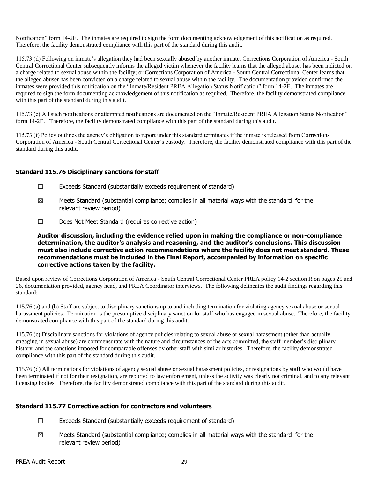Notification" form 14-2E. The inmates are required to sign the form documenting acknowledgement of this notification as required. Therefore, the facility demonstrated compliance with this part of the standard during this audit.

115.73 (d) Following an inmate's allegation they had been sexually abused by another inmate, Corrections Corporation of America - South Central Correctional Center subsequently informs the alleged victim whenever the facility learns that the alleged abuser has been indicted on a charge related to sexual abuse within the facility; or Corrections Corporation of America - South Central Correctional Center learns that the alleged abuser has been convicted on a charge related to sexual abuse within the facility. The documentation provided confirmed the inmates were provided this notification on the "Inmate/Resident PREA Allegation Status Notification" form 14-2E. The inmates are required to sign the form documenting acknowledgement of this notification as required. Therefore, the facility demonstrated compliance with this part of the standard during this audit.

115.73 (e) All such notifications or attempted notifications are documented on the "Inmate/Resident PREA Allegation Status Notification" form 14-2E. Therefore, the facility demonstrated compliance with this part of the standard during this audit.

115.73 (f) Policy outlines the agency's obligation to report under this standard terminates if the inmate is released from Corrections Corporation of America - South Central Correctional Center's custody. Therefore, the facility demonstrated compliance with this part of the standard during this audit.

#### **Standard 115.76 Disciplinary sanctions for staff**

- ☐ Exceeds Standard (substantially exceeds requirement of standard)
- $\boxtimes$  Meets Standard (substantial compliance; complies in all material ways with the standard for the relevant review period)
- ☐ Does Not Meet Standard (requires corrective action)

## **Auditor discussion, including the evidence relied upon in making the compliance or non-compliance determination, the auditor's analysis and reasoning, and the auditor's conclusions. This discussion must also include corrective action recommendations where the facility does not meet standard. These recommendations must be included in the Final Report, accompanied by information on specific corrective actions taken by the facility.**

Based upon review of Corrections Corporation of America - South Central Correctional Center PREA policy 14-2 section R on pages 25 and 26, documentation provided, agency head, and PREA Coordinator interviews. The following delineates the audit findings regarding this standard:

115.76 (a) and (b) Staff are subject to disciplinary sanctions up to and including termination for violating agency sexual abuse or sexual harassment policies. Termination is the presumptive disciplinary sanction for staff who has engaged in sexual abuse. Therefore, the facility demonstrated compliance with this part of the standard during this audit.

115.76 (c) Disciplinary sanctions for violations of agency policies relating to sexual abuse or sexual harassment (other than actually engaging in sexual abuse) are commensurate with the nature and circumstances of the acts committed, the staff member's disciplinary history, and the sanctions imposed for comparable offenses by other staff with similar histories. Therefore, the facility demonstrated compliance with this part of the standard during this audit.

115.76 (d) All terminations for violations of agency sexual abuse or sexual harassment policies, or resignations by staff who would have been terminated if not for their resignation, are reported to law enforcement, unless the activity was clearly not criminal, and to any relevant licensing bodies. Therefore, the facility demonstrated compliance with this part of the standard during this audit.

# **Standard 115.77 Corrective action for contractors and volunteers**

- ☐ Exceeds Standard (substantially exceeds requirement of standard)
- $\boxtimes$  Meets Standard (substantial compliance; complies in all material ways with the standard for the relevant review period)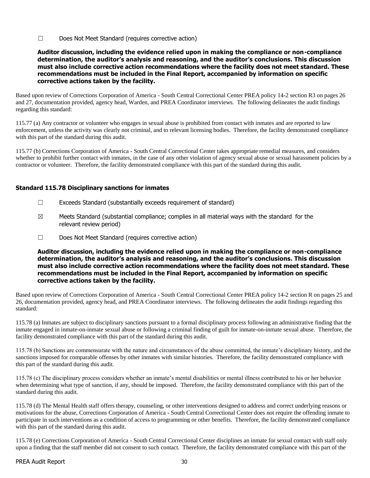☐ Does Not Meet Standard (requires corrective action)

**Auditor discussion, including the evidence relied upon in making the compliance or non-compliance determination, the auditor's analysis and reasoning, and the auditor's conclusions. This discussion must also include corrective action recommendations where the facility does not meet standard. These recommendations must be included in the Final Report, accompanied by information on specific corrective actions taken by the facility.**

Based upon review of Corrections Corporation of America - South Central Correctional Center PREA policy 14-2 section R3 on pages 26 and 27, documentation provided, agency head, Warden, and PREA Coordinator interviews. The following delineates the audit findings regarding this standard:

115.77 (a) Any contractor or volunteer who engages in sexual abuse is prohibited from contact with inmates and are reported to law enforcement, unless the activity was clearly not criminal, and to relevant licensing bodies. Therefore, the facility demonstrated compliance with this part of the standard during this audit.

115.77 (b) Corrections Corporation of America - South Central Correctional Center takes appropriate remedial measures, and considers whether to prohibit further contact with inmates, in the case of any other violation of agency sexual abuse or sexual harassment policies by a contractor or volunteer. Therefore, the facility demonstrated compliance with this part of the standard during this audit.

# **Standard 115.78 Disciplinary sanctions for inmates**

- $\Box$  Exceeds Standard (substantially exceeds requirement of standard)
- $\boxtimes$  Meets Standard (substantial compliance; complies in all material ways with the standard for the relevant review period)
- ☐ Does Not Meet Standard (requires corrective action)

**Auditor discussion, including the evidence relied upon in making the compliance or non-compliance determination, the auditor's analysis and reasoning, and the auditor's conclusions. This discussion must also include corrective action recommendations where the facility does not meet standard. These recommendations must be included in the Final Report, accompanied by information on specific corrective actions taken by the facility.**

Based upon review of Corrections Corporation of America - South Central Correctional Center PREA policy 14-2 section R on pages 25 and 26, documentation provided, agency head, and PREA Coordinator interviews. The following delineates the audit findings regarding this standard:

115.78 (a) Inmates are subject to disciplinary sanctions pursuant to a formal disciplinary process following an administrative finding that the inmate engaged in inmate-on-inmate sexual abuse or following a criminal finding of guilt for inmate-on-inmate sexual abuse. Therefore, the facility demonstrated compliance with this part of the standard during this audit.

115.78 (b) Sanctions are commensurate with the nature and circumstances of the abuse committed, the inmate's disciplinary history, and the sanctions imposed for comparable offenses by other inmates with similar histories. Therefore, the facility demonstrated compliance with this part of the standard during this audit.

115.78 (c) The disciplinary process considers whether an inmate's mental disabilities or mental illness contributed to his or her behavior when determining what type of sanction, if any, should be imposed. Therefore, the facility demonstrated compliance with this part of the standard during this audit.

115.78 (d) The Mental Health staff offers therapy, counseling, or other interventions designed to address and correct underlying reasons or motivations for the abuse, Corrections Corporation of America - South Central Correctional Center does not require the offending inmate to participate in such interventions as a condition of access to programming or other benefits. Therefore, the facility demonstrated compliance with this part of the standard during this audit.

115.78 (e) Corrections Corporation of America - South Central Correctional Center disciplines an inmate for sexual contact with staff only upon a finding that the staff member did not consent to such contact. Therefore, the facility demonstrated compliance with this part of the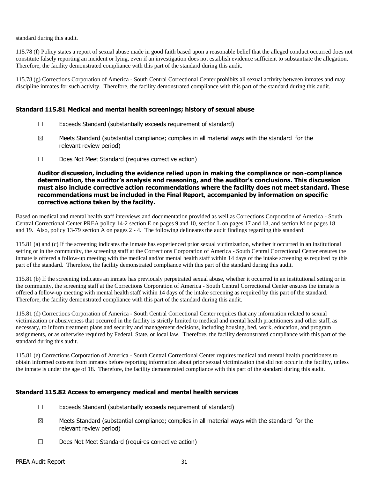standard during this audit.

115.78 (f) Policy states a report of sexual abuse made in good faith based upon a reasonable belief that the alleged conduct occurred does not constitute falsely reporting an incident or lying, even if an investigation does not establish evidence sufficient to substantiate the allegation. Therefore, the facility demonstrated compliance with this part of the standard during this audit.

115.78 (g) Corrections Corporation of America - South Central Correctional Center prohibits all sexual activity between inmates and may discipline inmates for such activity. Therefore, the facility demonstrated compliance with this part of the standard during this audit.

#### **Standard 115.81 Medical and mental health screenings; history of sexual abuse**

- ☐ Exceeds Standard (substantially exceeds requirement of standard)
- $\boxtimes$  Meets Standard (substantial compliance; complies in all material ways with the standard for the relevant review period)
- ☐ Does Not Meet Standard (requires corrective action)

**Auditor discussion, including the evidence relied upon in making the compliance or non-compliance determination, the auditor's analysis and reasoning, and the auditor's conclusions. This discussion must also include corrective action recommendations where the facility does not meet standard. These recommendations must be included in the Final Report, accompanied by information on specific corrective actions taken by the facility.**

Based on medical and mental health staff interviews and documentation provided as well as Corrections Corporation of America - South Central Correctional Center PREA policy 14-2 section E on pages 9 and 10, section L on pages 17 and 18, and section M on pages 18 and 19. Also, policy 13-79 section A on pages 2 - 4. The following delineates the audit findings regarding this standard:

115.81 (a) and (c) If the screening indicates the inmate has experienced prior sexual victimization, whether it occurred in an institutional setting or in the community, the screening staff at the Corrections Corporation of America - South Central Correctional Center ensures the inmate is offered a follow-up meeting with the medical and/or mental health staff within 14 days of the intake screening as required by this part of the standard. Therefore, the facility demonstrated compliance with this part of the standard during this audit.

115.81 (b) If the screening indicates an inmate has previously perpetrated sexual abuse, whether it occurred in an institutional setting or in the community, the screening staff at the Corrections Corporation of America - South Central Correctional Center ensures the inmate is offered a follow-up meeting with mental health staff within 14 days of the intake screening as required by this part of the standard. Therefore, the facility demonstrated compliance with this part of the standard during this audit.

115.81 (d) Corrections Corporation of America - South Central Correctional Center requires that any information related to sexual victimization or abusiveness that occurred in the facility is strictly limited to medical and mental health practitioners and other staff, as necessary, to inform treatment plans and security and management decisions, including housing, bed, work, education, and program assignments, or as otherwise required by Federal, State, or local law. Therefore, the facility demonstrated compliance with this part of the standard during this audit.

115.81 (e) Corrections Corporation of America - South Central Correctional Center requires medical and mental health practitioners to obtain informed consent from inmates before reporting information about prior sexual victimization that did not occur in the facility, unless the inmate is under the age of 18. Therefore, the facility demonstrated compliance with this part of the standard during this audit.

# **Standard 115.82 Access to emergency medical and mental health services**

- $\Box$  Exceeds Standard (substantially exceeds requirement of standard)
- $\boxtimes$  Meets Standard (substantial compliance; complies in all material ways with the standard for the relevant review period)
- ☐ Does Not Meet Standard (requires corrective action)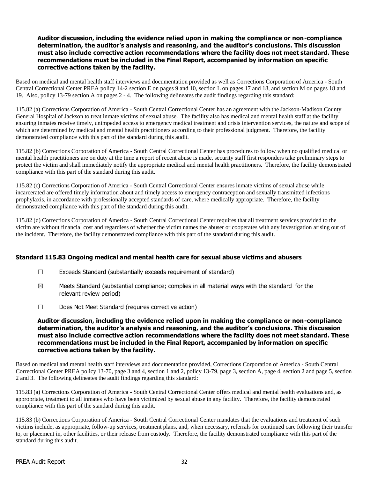#### **Auditor discussion, including the evidence relied upon in making the compliance or non-compliance determination, the auditor's analysis and reasoning, and the auditor's conclusions. This discussion must also include corrective action recommendations where the facility does not meet standard. These recommendations must be included in the Final Report, accompanied by information on specific corrective actions taken by the facility.**

Based on medical and mental health staff interviews and documentation provided as well as Corrections Corporation of America - South Central Correctional Center PREA policy 14-2 section E on pages 9 and 10, section L on pages 17 and 18, and section M on pages 18 and 19. Also, policy 13-79 section A on pages 2 - 4. The following delineates the audit findings regarding this standard:

115.82 (a) Corrections Corporation of America - South Central Correctional Center has an agreement with the Jackson-Madison County General Hospital of Jackson to treat inmate victims of sexual abuse. The facility also has medical and mental health staff at the facility ensuring inmates receive timely, unimpeded access to emergency medical treatment and crisis intervention services, the nature and scope of which are determined by medical and mental health practitioners according to their professional judgment. Therefore, the facility demonstrated compliance with this part of the standard during this audit.

115.82 (b) Corrections Corporation of America - South Central Correctional Center has procedures to follow when no qualified medical or mental health practitioners are on duty at the time a report of recent abuse is made, security staff first responders take preliminary steps to protect the victim and shall immediately notify the appropriate medical and mental health practitioners. Therefore, the facility demonstrated compliance with this part of the standard during this audit.

115.82 (c) Corrections Corporation of America - South Central Correctional Center ensures inmate victims of sexual abuse while incarcerated are offered timely information about and timely access to emergency contraception and sexually transmitted infections prophylaxis, in accordance with professionally accepted standards of care, where medically appropriate. Therefore, the facility demonstrated compliance with this part of the standard during this audit.

115.82 (d) Corrections Corporation of America - South Central Correctional Center requires that all treatment services provided to the victim are without financial cost and regardless of whether the victim names the abuser or cooperates with any investigation arising out of the incident. Therefore, the facility demonstrated compliance with this part of the standard during this audit.

# **Standard 115.83 Ongoing medical and mental health care for sexual abuse victims and abusers**

- $\Box$  Exceeds Standard (substantially exceeds requirement of standard)
- $\boxtimes$  Meets Standard (substantial compliance; complies in all material ways with the standard for the relevant review period)
- ☐ Does Not Meet Standard (requires corrective action)

#### **Auditor discussion, including the evidence relied upon in making the compliance or non-compliance determination, the auditor's analysis and reasoning, and the auditor's conclusions. This discussion must also include corrective action recommendations where the facility does not meet standard. These recommendations must be included in the Final Report, accompanied by information on specific corrective actions taken by the facility.**

Based on medical and mental health staff interviews and documentation provided, Corrections Corporation of America - South Central Correctional Center PREA policy 13-70, page 3 and 4, section 1 and 2, policy 13-79, page 3, section A, page 4, section 2 and page 5, section 2 and 3. The following delineates the audit findings regarding this standard:

115.83 (a) Corrections Corporation of America - South Central Correctional Center offers medical and mental health evaluations and, as appropriate, treatment to all inmates who have been victimized by sexual abuse in any facility. Therefore, the facility demonstrated compliance with this part of the standard during this audit.

115.83 (b) Corrections Corporation of America - South Central Correctional Center mandates that the evaluations and treatment of such victims include, as appropriate, follow-up services, treatment plans, and, when necessary, referrals for continued care following their transfer to, or placement in, other facilities, or their release from custody. Therefore, the facility demonstrated compliance with this part of the standard during this audit.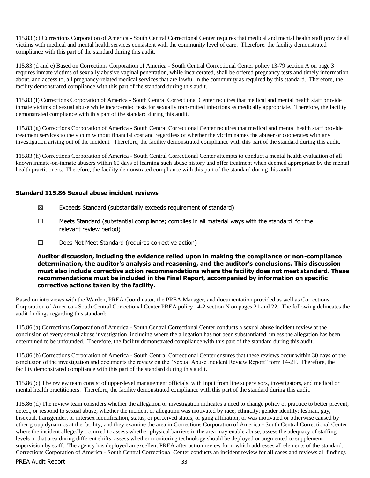115.83 (c) Corrections Corporation of America - South Central Correctional Center requires that medical and mental health staff provide all victims with medical and mental health services consistent with the community level of care. Therefore, the facility demonstrated compliance with this part of the standard during this audit.

115.83 (d and e) Based on Corrections Corporation of America - South Central Correctional Center policy 13-79 section A on page 3 requires inmate victims of sexually abusive vaginal penetration, while incarcerated, shall be offered pregnancy tests and timely information about, and access to, all pregnancy-related medical services that are lawful in the community as required by this standard. Therefore, the facility demonstrated compliance with this part of the standard during this audit.

115.83 (f) Corrections Corporation of America - South Central Correctional Center requires that medical and mental health staff provide inmate victims of sexual abuse while incarcerated tests for sexually transmitted infections as medically appropriate. Therefore, the facility demonstrated compliance with this part of the standard during this audit.

115.83 (g) Corrections Corporation of America - South Central Correctional Center requires that medical and mental health staff provide treatment services to the victim without financial cost and regardless of whether the victim names the abuser or cooperates with any investigation arising out of the incident. Therefore, the facility demonstrated compliance with this part of the standard during this audit.

115.83 (h) Corrections Corporation of America - South Central Correctional Center attempts to conduct a mental health evaluation of all known inmate-on-inmate abusers within 60 days of learning such abuse history and offer treatment when deemed appropriate by the mental health practitioners. Therefore, the facility demonstrated compliance with this part of the standard during this audit.

#### **Standard 115.86 Sexual abuse incident reviews**

- $\boxtimes$  Exceeds Standard (substantially exceeds requirement of standard)
- $\Box$  Meets Standard (substantial compliance; complies in all material ways with the standard for the relevant review period)
- ☐ Does Not Meet Standard (requires corrective action)

**Auditor discussion, including the evidence relied upon in making the compliance or non-compliance determination, the auditor's analysis and reasoning, and the auditor's conclusions. This discussion must also include corrective action recommendations where the facility does not meet standard. These recommendations must be included in the Final Report, accompanied by information on specific corrective actions taken by the facility.**

Based on interviews with the Warden, PREA Coordinator, the PREA Manager, and documentation provided as well as Corrections Corporation of America - South Central Correctional Center PREA policy 14-2 section N on pages 21 and 22. The following delineates the audit findings regarding this standard:

115.86 (a) Corrections Corporation of America - South Central Correctional Center conducts a sexual abuse incident review at the conclusion of every sexual abuse investigation, including where the allegation has not been substantiated, unless the allegation has been determined to be unfounded. Therefore, the facility demonstrated compliance with this part of the standard during this audit.

115.86 (b) Corrections Corporation of America - South Central Correctional Center ensures that these reviews occur within 30 days of the conclusion of the investigation and documents the review on the "Sexual Abuse Incident Review Report" form 14-2F. Therefore, the facility demonstrated compliance with this part of the standard during this audit.

115.86 (c) The review team consist of upper-level management officials, with input from line supervisors, investigators, and medical or mental health practitioners. Therefore, the facility demonstrated compliance with this part of the standard during this audit.

PREA Audit Report 33 115.86 (d) The review team considers whether the allegation or investigation indicates a need to change policy or practice to better prevent, detect, or respond to sexual abuse; whether the incident or allegation was motivated by race; ethnicity; gender identity; lesbian, gay, bisexual, transgender, or intersex identification, status, or perceived status; or gang affiliation; or was motivated or otherwise caused by other group dynamics at the facility; and they examine the area in Corrections Corporation of America - South Central Correctional Center where the incident allegedly occurred to assess whether physical barriers in the area may enable abuse; assess the adequacy of staffing levels in that area during different shifts; assess whether monitoring technology should be deployed or augmented to supplement supervision by staff. The agency has deployed an excellent PREA after action review form which addresses all elements of the standard. Corrections Corporation of America - South Central Correctional Center conducts an incident review for all cases and reviews all findings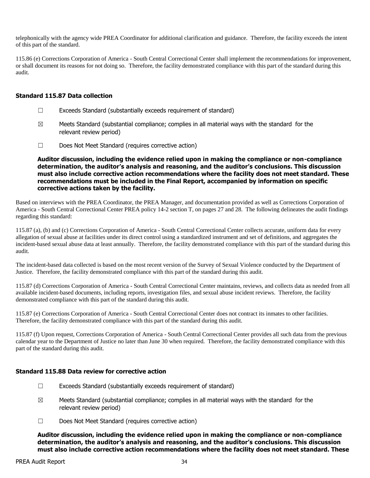telephonically with the agency wide PREA Coordinator for additional clarification and guidance. Therefore, the facility exceeds the intent of this part of the standard.

115.86 (e) Corrections Corporation of America - South Central Correctional Center shall implement the recommendations for improvement, or shall document its reasons for not doing so. Therefore, the facility demonstrated compliance with this part of the standard during this audit.

#### **Standard 115.87 Data collection**

- $\Box$  Exceeds Standard (substantially exceeds requirement of standard)
- $\boxtimes$  Meets Standard (substantial compliance; complies in all material ways with the standard for the relevant review period)
- ☐ Does Not Meet Standard (requires corrective action)

**Auditor discussion, including the evidence relied upon in making the compliance or non-compliance determination, the auditor's analysis and reasoning, and the auditor's conclusions. This discussion must also include corrective action recommendations where the facility does not meet standard. These recommendations must be included in the Final Report, accompanied by information on specific corrective actions taken by the facility.**

Based on interviews with the PREA Coordinator, the PREA Manager, and documentation provided as well as Corrections Corporation of America - South Central Correctional Center PREA policy 14-2 section T, on pages 27 and 28. The following delineates the audit findings regarding this standard:

115.87 (a), (b) and (c) Corrections Corporation of America - South Central Correctional Center collects accurate, uniform data for every allegation of sexual abuse at facilities under its direct control using a standardized instrument and set of definitions, and aggregates the incident-based sexual abuse data at least annually. Therefore, the facility demonstrated compliance with this part of the standard during this audit.

The incident-based data collected is based on the most recent version of the Survey of Sexual Violence conducted by the Department of Justice. Therefore, the facility demonstrated compliance with this part of the standard during this audit.

115.87 (d) Corrections Corporation of America - South Central Correctional Center maintains, reviews, and collects data as needed from all available incident-based documents, including reports, investigation files, and sexual abuse incident reviews. Therefore, the facility demonstrated compliance with this part of the standard during this audit.

115.87 (e) Corrections Corporation of America - South Central Correctional Center does not contract its inmates to other facilities. Therefore, the facility demonstrated compliance with this part of the standard during this audit.

115.87 (f) Upon request, Corrections Corporation of America - South Central Correctional Center provides all such data from the previous calendar year to the Department of Justice no later than June 30 when required. Therefore, the facility demonstrated compliance with this part of the standard during this audit.

# **Standard 115.88 Data review for corrective action**

- $\Box$  Exceeds Standard (substantially exceeds requirement of standard)
- $\boxtimes$  Meets Standard (substantial compliance; complies in all material ways with the standard for the relevant review period)
- ☐ Does Not Meet Standard (requires corrective action)

**Auditor discussion, including the evidence relied upon in making the compliance or non-compliance determination, the auditor's analysis and reasoning, and the auditor's conclusions. This discussion must also include corrective action recommendations where the facility does not meet standard. These**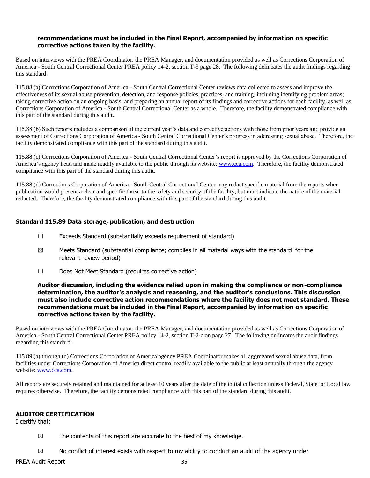#### **recommendations must be included in the Final Report, accompanied by information on specific corrective actions taken by the facility.**

Based on interviews with the PREA Coordinator, the PREA Manager, and documentation provided as well as Corrections Corporation of America - South Central Correctional Center PREA policy 14-2, section T-3 page 28. The following delineates the audit findings regarding this standard:

115.88 (a) Corrections Corporation of America - South Central Correctional Center reviews data collected to assess and improve the effectiveness of its sexual abuse prevention, detection, and response policies, practices, and training, including identifying problem areas; taking corrective action on an ongoing basis; and preparing an annual report of its findings and corrective actions for each facility, as well as Corrections Corporation of America - South Central Correctional Center as a whole. Therefore, the facility demonstrated compliance with this part of the standard during this audit.

115.88 (b) Such reports includes a comparison of the current year's data and corrective actions with those from prior years and provide an assessment of Corrections Corporation of America - South Central Correctional Center's progress in addressing sexual abuse. Therefore, the facility demonstrated compliance with this part of the standard during this audit.

115.88 (c) Corrections Corporation of America - South Central Correctional Center's report is approved by the Corrections Corporation of America's agency head and made readily available to the public through its website: [www.cca.com.](http://www.cca.com/) Therefore, the facility demonstrated compliance with this part of the standard during this audit.

115.88 (d) Corrections Corporation of America - South Central Correctional Center may redact specific material from the reports when publication would present a clear and specific threat to the safety and security of the facility, but must indicate the nature of the material redacted. Therefore, the facility demonstrated compliance with this part of the standard during this audit.

# **Standard 115.89 Data storage, publication, and destruction**

- $\Box$  Exceeds Standard (substantially exceeds requirement of standard)
- $\boxtimes$  Meets Standard (substantial compliance; complies in all material ways with the standard for the relevant review period)
- ☐ Does Not Meet Standard (requires corrective action)

#### **Auditor discussion, including the evidence relied upon in making the compliance or non-compliance determination, the auditor's analysis and reasoning, and the auditor's conclusions. This discussion must also include corrective action recommendations where the facility does not meet standard. These recommendations must be included in the Final Report, accompanied by information on specific corrective actions taken by the facility.**

Based on interviews with the PREA Coordinator, the PREA Manager, and documentation provided as well as Corrections Corporation of America - South Central Correctional Center PREA policy 14-2, section T-2-c on page 27. The following delineates the audit findings regarding this standard:

115.89 (a) through (d) Corrections Corporation of America agency PREA Coordinator makes all aggregated sexual abuse data, from facilities under Corrections Corporation of America direct control readily available to the public at least annually through the agency website[: www.cca.com.](http://www.cca.com/)

All reports are securely retained and maintained for at least 10 years after the date of the initial collection unless Federal, State, or Local law requires otherwise. Therefore, the facility demonstrated compliance with this part of the standard during this audit.

# **AUDITOR CERTIFICATION**

I certify that:

 $\boxtimes$  The contents of this report are accurate to the best of my knowledge.

 $\boxtimes$  No conflict of interest exists with respect to my ability to conduct an audit of the agency under

PREA Audit Report 35